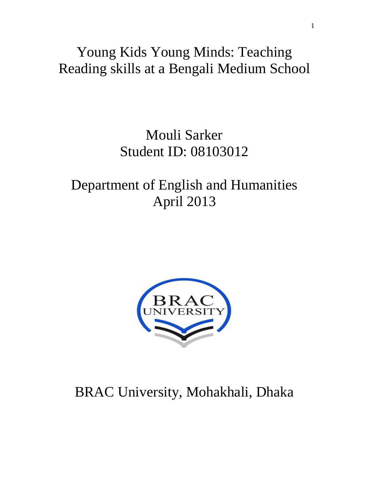## Young Kids Young Minds: Teaching Reading skills at a Bengali Medium School

## Mouli Sarker Student ID: 08103012

## Department of English and Humanities April 2013



# BRAC University, Mohakhali, Dhaka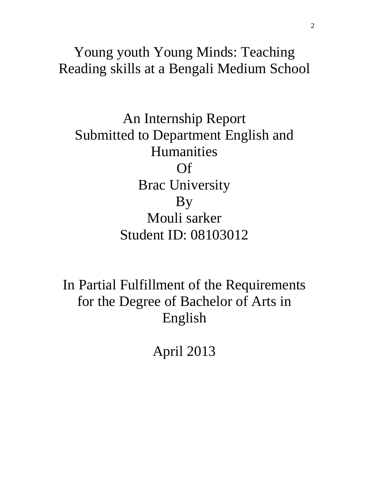Young youth Young Minds: Teaching Reading skills at a Bengali Medium School

An Internship Report Submitted to Department English and Humanities Of Brac University By Mouli sarker Student ID: 08103012

In Partial Fulfillment of the Requirements for the Degree of Bachelor of Arts in English

April 2013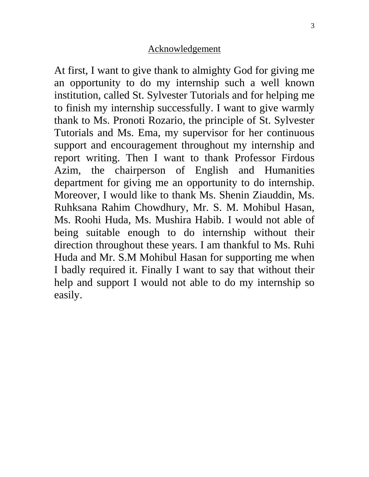## Acknowledgement

At first, I want to give thank to almighty God for giving me an opportunity to do my internship such a well known institution, called St. Sylvester Tutorials and for helping me to finish my internship successfully. I want to give warmly thank to Ms. Pronoti Rozario, the principle of St. Sylvester Tutorials and Ms. Ema, my supervisor for her continuous support and encouragement throughout my internship and report writing. Then I want to thank Professor Firdous Azim, the chairperson of English and Humanities department for giving me an opportunity to do internship. Moreover, I would like to thank Ms. Shenin Ziauddin, Ms. Ruhksana Rahim Chowdhury, Mr. S. M. Mohibul Hasan, Ms. Roohi Huda, Ms. Mushira Habib. I would not able of being suitable enough to do internship without their direction throughout these years. I am thankful to Ms. Ruhi Huda and Mr. S.M Mohibul Hasan for supporting me when I badly required it. Finally I want to say that without their help and support I would not able to do my internship so easily.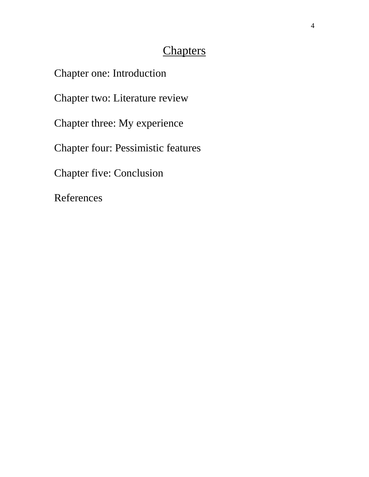## **Chapters**

Chapter one: Introduction Chapter two: Literature review Chapter three: My experience Chapter four: Pessimistic features Chapter five: Conclusion References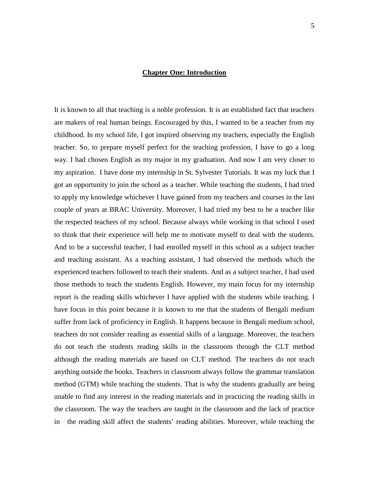## **Chapter One: Introduction**

It is known to all that teaching is a noble profession. It is an established fact that teachers are makers of real human beings. Encouraged by this, I wanted to be a teacher from my childhood. In my school life, I got inspired observing my teachers, especially the English teacher. So, to prepare myself perfect for the teaching profession, I have to go a long way. I had chosen English as my major in my graduation. And now I am very closer to my aspiration. I have done my internship in St. Sylvester Tutorials. It was my luck that I got an opportunity to join the school as a teacher. While teaching the students, I had tried to apply my knowledge whichever I have gained from my teachers and courses in the last couple of years at BRAC University. Moreover, I had tried my best to be a teacher like the respected teachers of my school. Because always while working in that school I used to think that their experience will help me to motivate myself to deal with the students. And to be a successful teacher, I had enrolled myself in this school as a subject teacher and teaching assistant. As a teaching assistant, I had observed the methods which the experienced teachers followed to teach their students. And as a subject teacher, I had used those methods to teach the students English. However, my main focus for my internship report is the reading skills whichever I have applied with the students while teaching. I have focus in this point because it is known to me that the students of Bengali medium suffer from lack of proficiency in English. It happens because in Bengali medium school, teachers do not consider reading as essential skills of a language. Moreover, the teachers do not teach the students reading skills in the classroom through the CLT method although the reading materials are based on CLT method. The teachers do not teach anything outside the books. Teachers in classroom always follow the grammar translation method (GTM) while teaching the students. That is why the students gradually are being unable to find any interest in the reading materials and in practicing the reading skills in the classroom. The way the teachers are taught in the classroom and the lack of practice in the reading skill affect the students' reading abilities. Moreover, while teaching the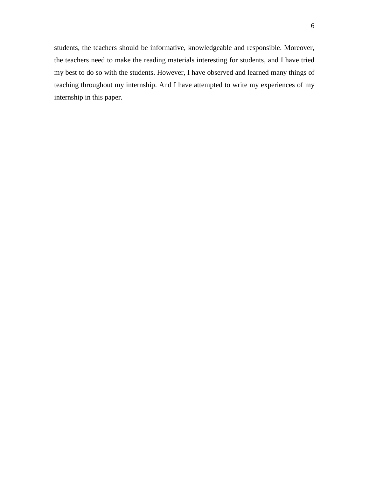students, the teachers should be informative, knowledgeable and responsible. Moreover, the teachers need to make the reading materials interesting for students, and I have tried my best to do so with the students. However, I have observed and learned many things of teaching throughout my internship. And I have attempted to write my experiences of my internship in this paper.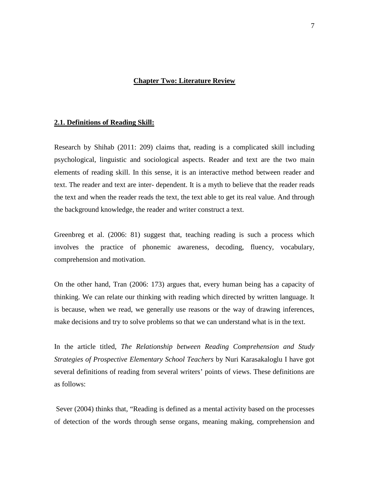## **Chapter Two: Literature Review**

#### **2.1. Definitions of Reading Skill:**

Research by Shihab (2011: 209) claims that, reading is a complicated skill including psychological, linguistic and sociological aspects. Reader and text are the two main elements of reading skill. In this sense, it is an interactive method between reader and text. The reader and text are inter- dependent. It is a myth to believe that the reader reads the text and when the reader reads the text, the text able to get its real value. And through the background knowledge, the reader and writer construct a text.

Greenbreg et al. (2006: 81) suggest that, teaching reading is such a process which involves the practice of phonemic awareness, decoding, fluency, vocabulary, comprehension and motivation.

On the other hand, Tran (2006: 173) argues that, every human being has a capacity of thinking. We can relate our thinking with reading which directed by written language. It is because, when we read, we generally use reasons or the way of drawing inferences, make decisions and try to solve problems so that we can understand what is in the text.

In the article titled*, The Relationship between Reading Comprehension and Study Strategies of Prospective Elementary School Teachers* by Nuri Karasakaloglu I have got several definitions of reading from several writers' points of views. These definitions are as follows:

Sever (2004) thinks that, "Reading is defined as a mental activity based on the processes of detection of the words through sense organs, meaning making, comprehension and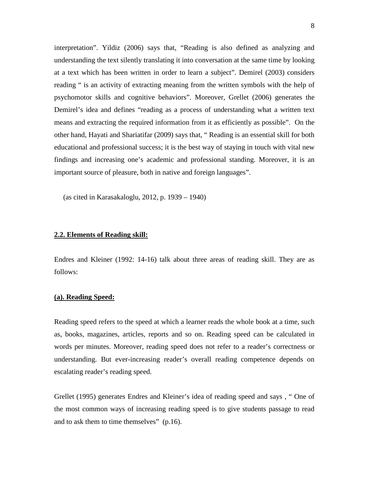interpretation". Yildiz (2006) says that, "Reading is also defined as analyzing and understanding the text silently translating it into conversation at the same time by looking at a text which has been written in order to learn a subject". Demirel (2003) considers reading " is an activity of extracting meaning from the written symbols with the help of psychomotor skills and cognitive behaviors". Moreover, Grellet (2006) generates the Demirel's idea and defines "reading as a process of understanding what a written text means and extracting the required information from it as efficiently as possible". On the other hand, Hayati and Shariatifar (2009) says that, " Reading is an essential skill for both educational and professional success; it is the best way of staying in touch with vital new findings and increasing one's academic and professional standing. Moreover, it is an important source of pleasure, both in native and foreign languages".

(as cited in Karasakaloglu, 2012, p. 1939 – 1940)

## **2.2. Elements of Reading skill:**

Endres and Kleiner (1992: 14-16) talk about three areas of reading skill. They are as follows:

## **(a). Reading Speed:**

Reading speed refers to the speed at which a learner reads the whole book at a time, such as, books, magazines, articles, reports and so on. Reading speed can be calculated in words per minutes. Moreover, reading speed does not refer to a reader's correctness or understanding. But ever-increasing reader's overall reading competence depends on escalating reader's reading speed.

Grellet (1995) generates Endres and Kleiner's idea of reading speed and says , " One of the most common ways of increasing reading speed is to give students passage to read and to ask them to time themselves" (p.16).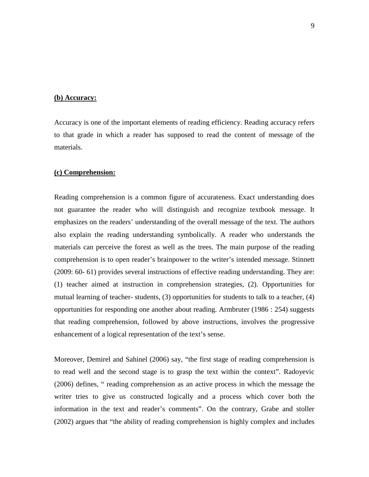#### **(b) Accuracy:**

Accuracy is one of the important elements of reading efficiency. Reading accuracy refers to that grade in which a reader has supposed to read the content of message of the materials.

#### **(c) Comprehension:**

Reading comprehension is a common figure of accurateness. Exact understanding does not guarantee the reader who will distinguish and recognize textbook message. It emphasizes on the readers' understanding of the overall message of the text. The authors also explain the reading understanding symbolically. A reader who understands the materials can perceive the forest as well as the trees. The main purpose of the reading comprehension is to open reader's brainpower to the writer's intended message. Stinnett (2009: 60- 61) provides several instructions of effective reading understanding. They are: (1) teacher aimed at instruction in comprehension strategies, (2). Opportunities for mutual learning of teacher- students, (3) opportunities for students to talk to a teacher, (4) opportunities for responding one another about reading. Armbruter (1986 : 254) suggests that reading comprehension, followed by above instructions, involves the progressive enhancement of a logical representation of the text's sense.

Moreover, Demirel and Sahinel (2006) say, "the first stage of reading comprehension is to read well and the second stage is to grasp the text within the context". Radoyevic (2006) defines, " reading comprehension as an active process in which the message the writer tries to give us constructed logically and a process which cover both the information in the text and reader's comments". On the contrary, Grabe and stoller (2002) argues that "the ability of reading comprehension is highly complex and includes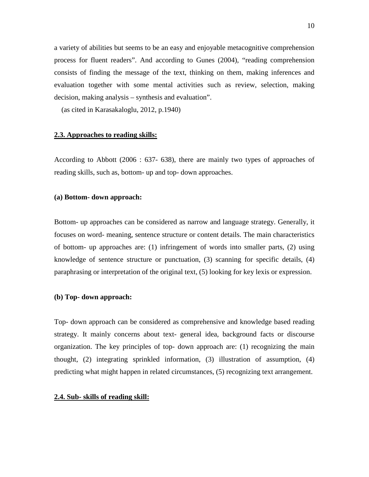a variety of abilities but seems to be an easy and enjoyable metacognitive comprehension process for fluent readers". And according to Gunes (2004), "reading comprehension consists of finding the message of the text, thinking on them, making inferences and evaluation together with some mental activities such as review, selection, making decision, making analysis – synthesis and evaluation".

(as cited in Karasakaloglu, 2012, p.1940)

#### **2.3. Approaches to reading skills:**

According to Abbott (2006 : 637- 638), there are mainly two types of approaches of reading skills, such as, bottom- up and top- down approaches.

#### **(a) Bottom- down approach:**

Bottom- up approaches can be considered as narrow and language strategy. Generally, it focuses on word- meaning, sentence structure or content details. The main characteristics of bottom- up approaches are: (1) infringement of words into smaller parts, (2) using knowledge of sentence structure or punctuation, (3) scanning for specific details, (4) paraphrasing or interpretation of the original text, (5) looking for key lexis or expression.

#### **(b) Top- down approach:**

Top- down approach can be considered as comprehensive and knowledge based reading strategy. It mainly concerns about text- general idea, background facts or discourse organization. The key principles of top- down approach are: (1) recognizing the main thought, (2) integrating sprinkled information, (3) illustration of assumption, (4) predicting what might happen in related circumstances, (5) recognizing text arrangement.

#### **2.4. Sub- skills of reading skill:**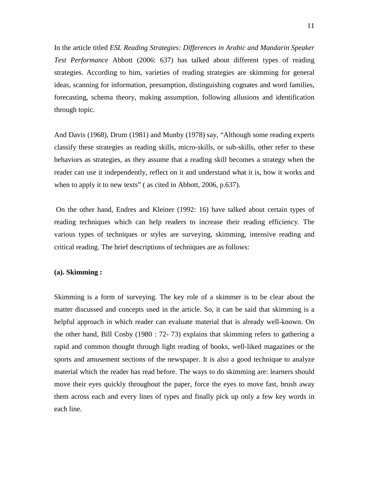In the article titled *ESL Reading Strategies: Differences in Arabic and Mandarin Speaker Test Performance* Abbott (2006: 637) has talked about different types of reading strategies. According to him, varieties of reading strategies are skimming for general ideas, scanning for information, presumption, distinguishing cognates and word families, forecasting, schema theory, making assumption, following allusions and identification through topic.

And Davis (1968), Drum (1981) and Munby (1978) say, "Although some reading experts classify these strategies as reading skills, micro-skills, or sub-skills, other refer to these behaviors as strategies, as they assume that a reading skill becomes a strategy when the reader can use it independently, reflect on it and understand what it is, how it works and when to apply it to new texts" (as cited in Abbott, 2006, p.637).

On the other hand, Endres and Kleiner (1992: 16) have talked about certain types of reading techniques which can help readers to increase their reading efficiency. The various types of techniques or styles are surveying, skimming, intensive reading and critical reading. The brief descriptions of techniques are as follows:

## **(a). Skimming :**

Skimming is a form of surveying. The key role of a skimmer is to be clear about the matter discussed and concepts used in the article. So, it can be said that skimming is a helpful approach in which reader can evaluate material that is already well-known. On the other hand, Bill Cosby (1980 : 72- 73) explains that skimming refers to gathering a rapid and common thought through light reading of books, well-liked magazines or the sports and amusement sections of the newspaper. It is also a good technique to analyze material which the reader has read before. The ways to do skimming are: learners should move their eyes quickly throughout the paper, force the eyes to move fast, brush away them across each and every lines of types and finally pick up only a few key words in each line.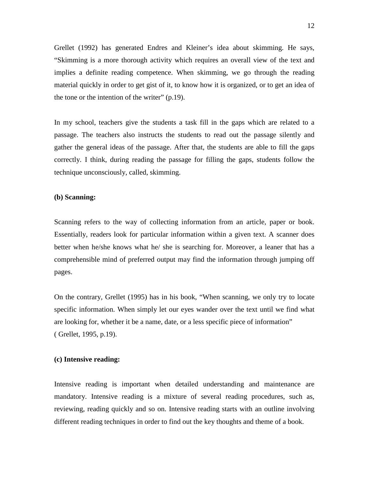Grellet (1992) has generated Endres and Kleiner's idea about skimming. He says, "Skimming is a more thorough activity which requires an overall view of the text and implies a definite reading competence. When skimming, we go through the reading material quickly in order to get gist of it, to know how it is organized, or to get an idea of the tone or the intention of the writer" (p.19).

In my school, teachers give the students a task fill in the gaps which are related to a passage. The teachers also instructs the students to read out the passage silently and gather the general ideas of the passage. After that, the students are able to fill the gaps correctly. I think, during reading the passage for filling the gaps, students follow the technique unconsciously, called, skimming.

## **(b) Scanning:**

Scanning refers to the way of collecting information from an article, paper or book. Essentially, readers look for particular information within a given text. A scanner does better when he/she knows what he/ she is searching for. Moreover, a leaner that has a comprehensible mind of preferred output may find the information through jumping off pages.

On the contrary, Grellet (1995) has in his book, "When scanning, we only try to locate specific information. When simply let our eyes wander over the text until we find what are looking for, whether it be a name, date, or a less specific piece of information" ( Grellet, 1995, p.19).

## **(c) Intensive reading:**

Intensive reading is important when detailed understanding and maintenance are mandatory. Intensive reading is a mixture of several reading procedures, such as, reviewing, reading quickly and so on. Intensive reading starts with an outline involving different reading techniques in order to find out the key thoughts and theme of a book.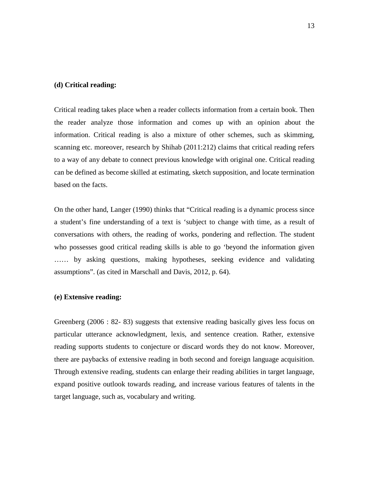#### **(d) Critical reading:**

Critical reading takes place when a reader collects information from a certain book. Then the reader analyze those information and comes up with an opinion about the information. Critical reading is also a mixture of other schemes, such as skimming, scanning etc. moreover, research by Shihab (2011:212) claims that critical reading refers to a way of any debate to connect previous knowledge with original one. Critical reading can be defined as become skilled at estimating, sketch supposition, and locate termination based on the facts.

On the other hand, Langer (1990) thinks that "Critical reading is a dynamic process since a student's fine understanding of a text is 'subject to change with time, as a result of conversations with others, the reading of works, pondering and reflection. The student who possesses good critical reading skills is able to go 'beyond the information given …… by asking questions, making hypotheses, seeking evidence and validating assumptions". (as cited in Marschall and Davis, 2012, p. 64).

#### **(e) Extensive reading:**

Greenberg (2006 : 82- 83) suggests that extensive reading basically gives less focus on particular utterance acknowledgment, lexis, and sentence creation. Rather, extensive reading supports students to conjecture or discard words they do not know. Moreover, there are paybacks of extensive reading in both second and foreign language acquisition. Through extensive reading, students can enlarge their reading abilities in target language, expand positive outlook towards reading, and increase various features of talents in the target language, such as, vocabulary and writing.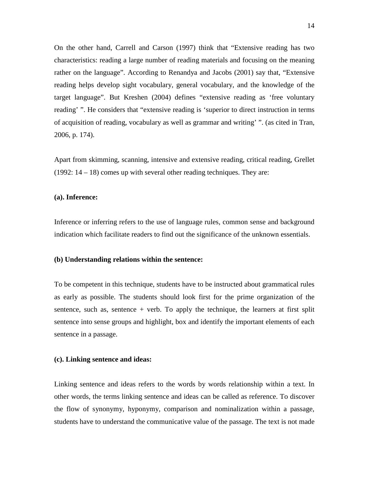On the other hand, Carrell and Carson (1997) think that "Extensive reading has two characteristics: reading a large number of reading materials and focusing on the meaning rather on the language". According to Renandya and Jacobs (2001) say that, "Extensive reading helps develop sight vocabulary, general vocabulary, and the knowledge of the target language". But Kreshen (2004) defines "extensive reading as 'free voluntary reading' ". He considers that "extensive reading is 'superior to direct instruction in terms of acquisition of reading, vocabulary as well as grammar and writing' ". (as cited in Tran, 2006, p. 174).

Apart from skimming, scanning, intensive and extensive reading, critical reading, Grellet (1992:  $14 - 18$ ) comes up with several other reading techniques. They are:

#### **(a). Inference:**

Inference or inferring refers to the use of language rules, common sense and background indication which facilitate readers to find out the significance of the unknown essentials.

## **(b) Understanding relations within the sentence:**

To be competent in this technique, students have to be instructed about grammatical rules as early as possible. The students should look first for the prime organization of the sentence, such as, sentence  $+$  verb. To apply the technique, the learners at first split sentence into sense groups and highlight, box and identify the important elements of each sentence in a passage.

#### **(c). Linking sentence and ideas:**

Linking sentence and ideas refers to the words by words relationship within a text. In other words, the terms linking sentence and ideas can be called as reference. To discover the flow of synonymy, hyponymy, comparison and nominalization within a passage, students have to understand the communicative value of the passage. The text is not made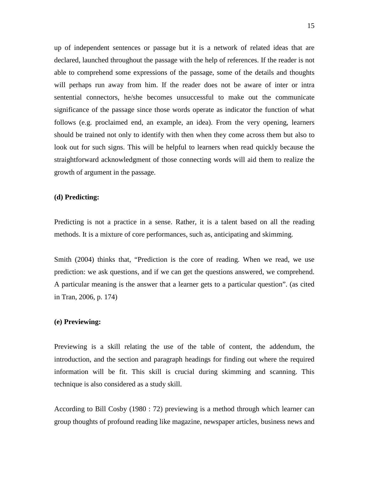up of independent sentences or passage but it is a network of related ideas that are declared, launched throughout the passage with the help of references. If the reader is not able to comprehend some expressions of the passage, some of the details and thoughts will perhaps run away from him. If the reader does not be aware of inter or intra sentential connectors, he/she becomes unsuccessful to make out the communicate significance of the passage since those words operate as indicator the function of what follows (e.g. proclaimed end, an example, an idea). From the very opening, learners should be trained not only to identify with then when they come across them but also to look out for such signs. This will be helpful to learners when read quickly because the straightforward acknowledgment of those connecting words will aid them to realize the growth of argument in the passage.

## **(d) Predicting:**

Predicting is not a practice in a sense. Rather, it is a talent based on all the reading methods. It is a mixture of core performances, such as, anticipating and skimming.

Smith (2004) thinks that, "Prediction is the core of reading. When we read, we use prediction: we ask questions, and if we can get the questions answered, we comprehend. A particular meaning is the answer that a learner gets to a particular question". (as cited in Tran, 2006, p. 174)

### **(e) Previewing:**

Previewing is a skill relating the use of the table of content, the addendum, the introduction, and the section and paragraph headings for finding out where the required information will be fit. This skill is crucial during skimming and scanning. This technique is also considered as a study skill.

According to Bill Cosby (1980 : 72) previewing is a method through which learner can group thoughts of profound reading like magazine, newspaper articles, business news and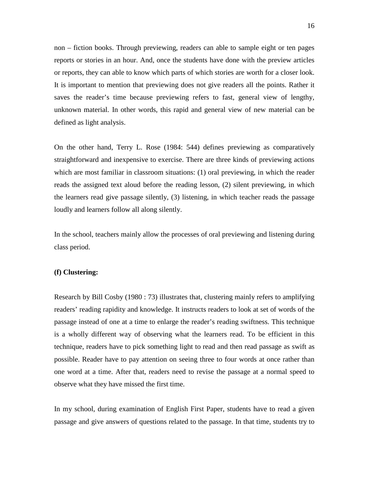non – fiction books. Through previewing, readers can able to sample eight or ten pages reports or stories in an hour. And, once the students have done with the preview articles or reports, they can able to know which parts of which stories are worth for a closer look. It is important to mention that previewing does not give readers all the points. Rather it saves the reader's time because previewing refers to fast, general view of lengthy, unknown material. In other words, this rapid and general view of new material can be defined as light analysis.

On the other hand, Terry L. Rose (1984: 544) defines previewing as comparatively straightforward and inexpensive to exercise. There are three kinds of previewing actions which are most familiar in classroom situations: (1) oral previewing, in which the reader reads the assigned text aloud before the reading lesson, (2) silent previewing, in which the learners read give passage silently, (3) listening, in which teacher reads the passage loudly and learners follow all along silently.

In the school, teachers mainly allow the processes of oral previewing and listening during class period.

## **(f) Clustering:**

Research by Bill Cosby (1980 : 73) illustrates that, clustering mainly refers to amplifying readers' reading rapidity and knowledge. It instructs readers to look at set of words of the passage instead of one at a time to enlarge the reader's reading swiftness. This technique is a wholly different way of observing what the learners read. To be efficient in this technique, readers have to pick something light to read and then read passage as swift as possible. Reader have to pay attention on seeing three to four words at once rather than one word at a time. After that, readers need to revise the passage at a normal speed to observe what they have missed the first time.

In my school, during examination of English First Paper, students have to read a given passage and give answers of questions related to the passage. In that time, students try to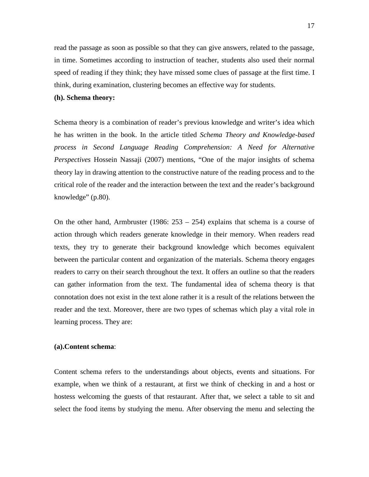read the passage as soon as possible so that they can give answers, related to the passage, in time. Sometimes according to instruction of teacher, students also used their normal speed of reading if they think; they have missed some clues of passage at the first time. I think, during examination, clustering becomes an effective way for students.

## **(h). Schema theory:**

Schema theory is a combination of reader's previous knowledge and writer's idea which he has written in the book. In the article titled *Schema Theory and Knowledge-based process in Second Language Reading Comprehension: A Need for Alternative Perspectives* Hossein Nassaji (2007) mentions, "One of the major insights of schema theory lay in drawing attention to the constructive nature of the reading process and to the critical role of the reader and the interaction between the text and the reader's background knowledge" (p.80).

On the other hand, Armbruster (1986:  $253 - 254$ ) explains that schema is a course of action through which readers generate knowledge in their memory. When readers read texts, they try to generate their background knowledge which becomes equivalent between the particular content and organization of the materials. Schema theory engages readers to carry on their search throughout the text. It offers an outline so that the readers can gather information from the text. The fundamental idea of schema theory is that connotation does not exist in the text alone rather it is a result of the relations between the reader and the text. Moreover, there are two types of schemas which play a vital role in learning process. They are:

## **(a).Content schema**:

Content schema refers to the understandings about objects, events and situations. For example, when we think of a restaurant, at first we think of checking in and a host or hostess welcoming the guests of that restaurant. After that, we select a table to sit and select the food items by studying the menu. After observing the menu and selecting the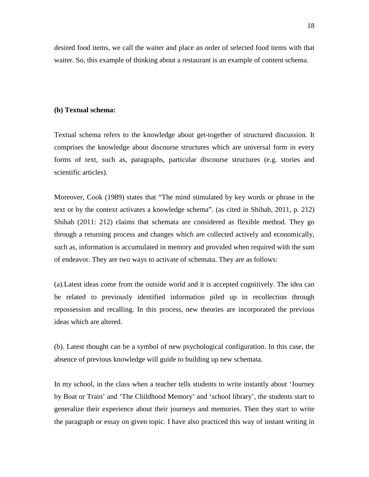desired food items, we call the waiter and place an order of selected food items with that waiter. So, this example of thinking about a restaurant is an example of content schema.

## **(b) Textual schema:**

Textual schema refers to the knowledge about get-together of structured discussion. It comprises the knowledge about discourse structures which are universal form in every forms of text, such as, paragraphs, particular discourse structures (e.g. stories and scientific articles).

Moreover, Cook (1989) states that "The mind stimulated by key words or phrase in the text or by the context activates a knowledge schema". (as cited in Shihab, 2011, p. 212) Shihab (2011: 212) claims that schemata are considered as flexible method. They go through a returning process and changes which are collected actively and economically, such as, information is accumulated in memory and provided when required with the sum of endeavor. They are two ways to activate of schemata. They are as follows:

(a).Latest ideas come from the outside world and it is accepted cognitively. The idea can be related to previously identified information piled up in recollection through repossession and recalling. In this process, new theories are incorporated the previous ideas which are altered.

(b). Latest thought can be a symbol of new psychological configuration. In this case, the absence of previous knowledge will guide to building up new schemata.

In my school, in the class when a teacher tells students to write instantly about 'Journey by Boat or Train' and 'The Childhood Memory' and 'school library', the students start to generalize their experience about their journeys and memories. Then they start to write the paragraph or essay on given topic. I have also practiced this way of instant writing in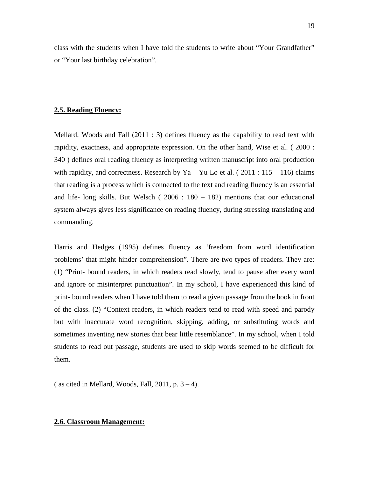class with the students when I have told the students to write about "Your Grandfather" or "Your last birthday celebration".

## **2.5. Reading Fluency:**

Mellard, Woods and Fall (2011 : 3) defines fluency as the capability to read text with rapidity, exactness, and appropriate expression. On the other hand, Wise et al. ( 2000 : 340 ) defines oral reading fluency as interpreting written manuscript into oral production with rapidity, and correctness. Research by Ya – Yu Lo et al. ( $2011 : 115 - 116$ ) claims that reading is a process which is connected to the text and reading fluency is an essential and life- long skills. But Welsch ( 2006 : 180 – 182) mentions that our educational system always gives less significance on reading fluency, during stressing translating and commanding.

Harris and Hedges (1995) defines fluency as 'freedom from word identification problems' that might hinder comprehension". There are two types of readers. They are: (1) "Print- bound readers, in which readers read slowly, tend to pause after every word and ignore or misinterpret punctuation". In my school, I have experienced this kind of print- bound readers when I have told them to read a given passage from the book in front of the class. (2) "Context readers, in which readers tend to read with speed and parody but with inaccurate word recognition, skipping, adding, or substituting words and sometimes inventing new stories that bear little resemblance". In my school, when I told students to read out passage, students are used to skip words seemed to be difficult for them.

( as cited in Mellard, Woods, Fall, 2011, p.  $3 - 4$ ).

## **2.6. Classroom Management:**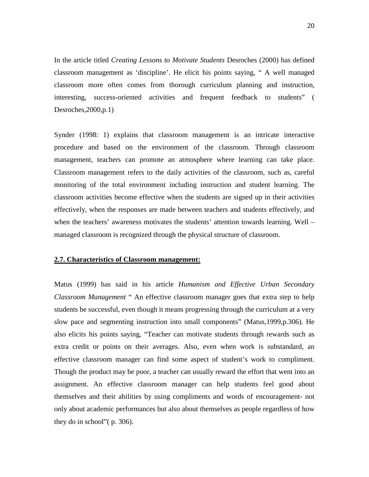In the article titled *Creating Lessons to Motivate Students* Desroches (2000) has defined classroom management as 'discipline'. He elicit his points saying, " A well managed classroom more often comes from thorough curriculum planning and instruction, interesting, success-oriented activities and frequent feedback to students" ( Desroches,2000,p.1)

Synder (1998: 1) explains that classroom management is an intricate interactive procedure and based on the environment of the classroom. Through classroom management, teachers can promote an atmosphere where learning can take place. Classroom management refers to the daily activities of the classroom, such as, careful monitoring of the total environment including instruction and student learning. The classroom activities become effective when the students are signed up in their activities effectively, when the responses are made between teachers and students effectively, and when the teachers' awareness motivates the students' attention towards learning. Well – managed classroom is recognized through the physical structure of classroom.

## **2.7. Characteristics of Classroom management:**

Matus (1999) has said in his article *Humanism and Effective Urban Secondary Classroom Management* " An effective classroom manager goes that extra step to help students be successful, even though it means progressing through the curriculum at a very slow pace and segmenting instruction into small components" (Matus,1999,p.306). He also elicits his points saying, "Teacher can motivate students through rewards such as extra credit or points on their averages. Also, even when work is substandard, an effective classroom manager can find some aspect of student's work to compliment. Though the product may be poor, a teacher can usually reward the effort that went into an assignment. An effective classroom manager can help students feel good about themselves and their abilities by using compliments and words of encouragement- not only about academic performances but also about themselves as people regardless of how they do in school"( p. 306).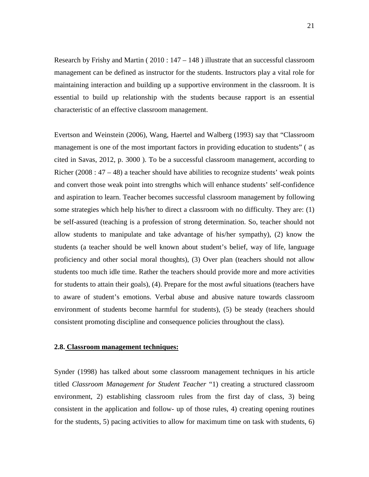Research by Frishy and Martin ( $2010:147 - 148$ ) illustrate that an successful classroom management can be defined as instructor for the students. Instructors play a vital role for maintaining interaction and building up a supportive environment in the classroom. It is essential to build up relationship with the students because rapport is an essential characteristic of an effective classroom management.

Evertson and Weinstein (2006), Wang, Haertel and Walberg (1993) say that "Classroom management is one of the most important factors in providing education to students" ( as cited in Savas, 2012, p. 3000 ). To be a successful classroom management, according to Richer (2008 :  $47 - 48$ ) a teacher should have abilities to recognize students' weak points and convert those weak point into strengths which will enhance students' self-confidence and aspiration to learn. Teacher becomes successful classroom management by following some strategies which help his/her to direct a classroom with no difficulty. They are: (1) be self-assured (teaching is a profession of strong determination. So, teacher should not allow students to manipulate and take advantage of his/her sympathy), (2) know the students (a teacher should be well known about student's belief, way of life, language proficiency and other social moral thoughts), (3) Over plan (teachers should not allow students too much idle time. Rather the teachers should provide more and more activities for students to attain their goals), (4). Prepare for the most awful situations (teachers have to aware of student's emotions. Verbal abuse and abusive nature towards classroom environment of students become harmful for students), (5) be steady (teachers should consistent promoting discipline and consequence policies throughout the class).

## **2.8. Classroom management techniques:**

Synder (1998) has talked about some classroom management techniques in his article titled *Classroom Management for Student Teacher* "1) creating a structured classroom environment, 2) establishing classroom rules from the first day of class, 3) being consistent in the application and follow- up of those rules, 4) creating opening routines for the students, 5) pacing activities to allow for maximum time on task with students, 6)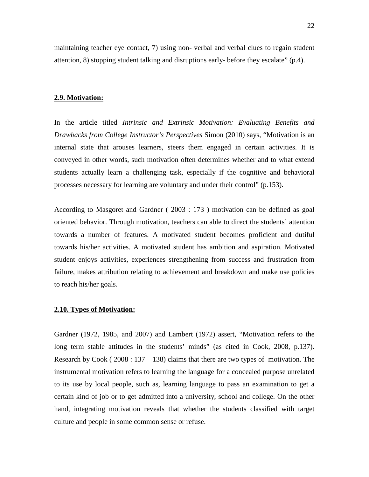maintaining teacher eye contact, 7) using non- verbal and verbal clues to regain student attention, 8) stopping student talking and disruptions early- before they escalate" (p.4).

#### **2.9. Motivation:**

In the article titled *Intrinsic and Extrinsic Motivation: Evaluating Benefits and Drawbacks from College Instructor's Perspectives* Simon (2010) says, "Motivation is an internal state that arouses learners, steers them engaged in certain activities. It is conveyed in other words, such motivation often determines whether and to what extend students actually learn a challenging task, especially if the cognitive and behavioral processes necessary for learning are voluntary and under their control" (p.153).

According to Masgoret and Gardner ( 2003 : 173 ) motivation can be defined as goal oriented behavior. Through motivation, teachers can able to direct the students' attention towards a number of features. A motivated student becomes proficient and dutiful towards his/her activities. A motivated student has ambition and aspiration. Motivated student enjoys activities, experiences strengthening from success and frustration from failure, makes attribution relating to achievement and breakdown and make use policies to reach his/her goals.

## **2.10. Types of Motivation:**

Gardner (1972, 1985, and 2007) and Lambert (1972) assert, "Motivation refers to the long term stable attitudes in the students' minds" (as cited in Cook, 2008, p.137). Research by Cook ( $2008:137-138$ ) claims that there are two types of motivation. The instrumental motivation refers to learning the language for a concealed purpose unrelated to its use by local people, such as, learning language to pass an examination to get a certain kind of job or to get admitted into a university, school and college. On the other hand, integrating motivation reveals that whether the students classified with target culture and people in some common sense or refuse.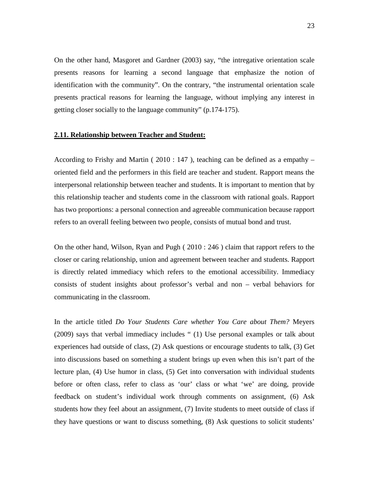On the other hand, Masgoret and Gardner (2003) say, "the intregative orientation scale presents reasons for learning a second language that emphasize the notion of identification with the community". On the contrary, "the instrumental orientation scale presents practical reasons for learning the language, without implying any interest in getting closer socially to the language community" (p.174-175).

#### **2.11. Relationship between Teacher and Student:**

According to Frishy and Martin ( 2010 : 147 ), teaching can be defined as a empathy – oriented field and the performers in this field are teacher and student. Rapport means the interpersonal relationship between teacher and students. It is important to mention that by this relationship teacher and students come in the classroom with rational goals. Rapport has two proportions: a personal connection and agreeable communication because rapport refers to an overall feeling between two people, consists of mutual bond and trust.

On the other hand, Wilson, Ryan and Pugh ( 2010 : 246 ) claim that rapport refers to the closer or caring relationship, union and agreement between teacher and students. Rapport is directly related immediacy which refers to the emotional accessibility. Immediacy consists of student insights about professor's verbal and non – verbal behaviors for communicating in the classroom.

In the article titled *Do Your Students Care whether You Care about Them?* Meyers (2009) says that verbal immediacy includes " (1) Use personal examples or talk about experiences had outside of class, (2) Ask questions or encourage students to talk, (3) Get into discussions based on something a student brings up even when this isn't part of the lecture plan, (4) Use humor in class, (5) Get into conversation with individual students before or often class, refer to class as 'our' class or what 'we' are doing, provide feedback on student's individual work through comments on assignment, (6) Ask students how they feel about an assignment, (7) Invite students to meet outside of class if they have questions or want to discuss something, (8) Ask questions to solicit students'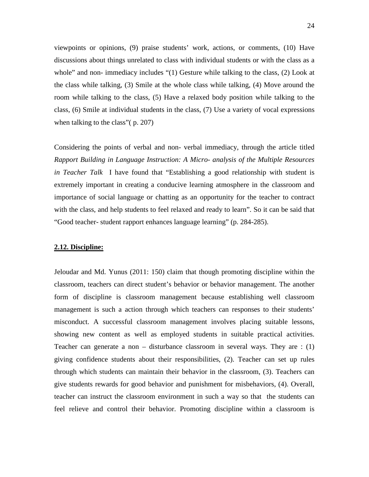viewpoints or opinions, (9) praise students' work, actions, or comments, (10) Have discussions about things unrelated to class with individual students or with the class as a whole" and non- immediacy includes "(1) Gesture while talking to the class, (2) Look at the class while talking, (3) Smile at the whole class while talking, (4) Move around the room while talking to the class, (5) Have a relaxed body position while talking to the class, (6) Smile at individual students in the class, (7) Use a variety of vocal expressions when talking to the class"( p. 207)

Considering the points of verbal and non- verbal immediacy, through the article titled *Rapport Building in Language Instruction: A Micro- analysis of the Multiple Resources in Teacher Talk* I have found that "Establishing a good relationship with student is extremely important in creating a conducive learning atmosphere in the classroom and importance of social language or chatting as an opportunity for the teacher to contract with the class, and help students to feel relaxed and ready to learn". So it can be said that "Good teacher- student rapport enhances language learning" (p. 284-285).

## **2.12. Discipline:**

Jeloudar and Md. Yunus (2011: 150) claim that though promoting discipline within the classroom, teachers can direct student's behavior or behavior management. The another form of discipline is classroom management because establishing well classroom management is such a action through which teachers can responses to their students' misconduct. A successful classroom management involves placing suitable lessons, showing new content as well as employed students in suitable practical activities. Teacher can generate a non – disturbance classroom in several ways. They are : (1) giving confidence students about their responsibilities, (2). Teacher can set up rules through which students can maintain their behavior in the classroom, (3). Teachers can give students rewards for good behavior and punishment for misbehaviors, (4). Overall, teacher can instruct the classroom environment in such a way so that the students can feel relieve and control their behavior. Promoting discipline within a classroom is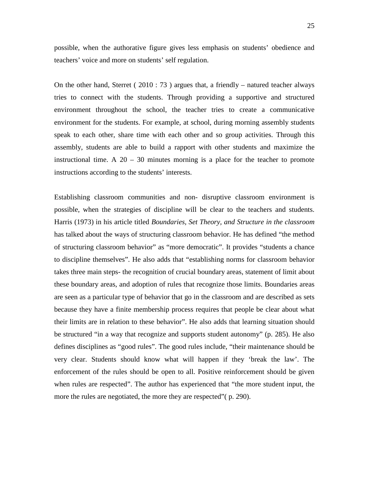possible, when the authorative figure gives less emphasis on students' obedience and teachers' voice and more on students' self regulation.

On the other hand, Sterret ( $2010:73$ ) argues that, a friendly – natured teacher always tries to connect with the students. Through providing a supportive and structured environment throughout the school, the teacher tries to create a communicative environment for the students. For example, at school, during morning assembly students speak to each other, share time with each other and so group activities. Through this assembly, students are able to build a rapport with other students and maximize the instructional time. A  $20 - 30$  minutes morning is a place for the teacher to promote instructions according to the students' interests.

Establishing classroom communities and non- disruptive classroom environment is possible, when the strategies of discipline will be clear to the teachers and students. Harris (1973) in his article titled *Boundaries, Set Theory, and Structure in the classroom* has talked about the ways of structuring classroom behavior. He has defined "the method of structuring classroom behavior" as "more democratic". It provides "students a chance to discipline themselves". He also adds that "establishing norms for classroom behavior takes three main steps- the recognition of crucial boundary areas, statement of limit about these boundary areas, and adoption of rules that recognize those limits. Boundaries areas are seen as a particular type of behavior that go in the classroom and are described as sets because they have a finite membership process requires that people be clear about what their limits are in relation to these behavior". He also adds that learning situation should be structured "in a way that recognize and supports student autonomy" (p. 285). He also defines disciplines as "good rules". The good rules include, "their maintenance should be very clear. Students should know what will happen if they 'break the law'. The enforcement of the rules should be open to all. Positive reinforcement should be given when rules are respected". The author has experienced that "the more student input, the more the rules are negotiated, the more they are respected"( p. 290).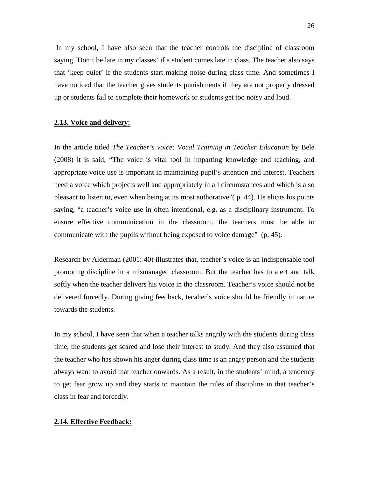In my school, I have also seen that the teacher controls the discipline of classroom saying 'Don't be late in my classes' if a student comes late in class. The teacher also says that 'keep quiet' if the students start making noise during class time. And sometimes I have noticed that the teacher gives students punishments if they are not properly dressed up or students fail to complete their homework or students get too noisy and loud.

## **2.13. Voice and delivery:**

In the article titled *The Teacher's voice: Vocal Training in Teacher Education* by Bele (2008) it is said, "The voice is vital tool in imparting knowledge and teaching, and appropriate voice use is important in maintaining pupil's attention and interest. Teachers need a voice which projects well and appropriately in all circumstances and which is also pleasant to listen to, even when being at its most authorative"( p. 44). He elicits his points saying, "a teacher's voice use in often intentional, e.g. as a disciplinary instrument. To ensure effective communication in the classroom, the teachers must be able to communicate with the pupils without being exposed to voice damage" (p. 45).

Research by Alderman (2001: 40) illustrates that, teacher's voice is an indispensable tool promoting discipline in a mismanaged classroom. But the teacher has to alert and talk softly when the teacher delivers his voice in the classroom. Teacher's voice should not be delivered forcedly. During giving feedback, tecaher's voice should be friendly in nature towards the students.

In my school, I have seen that when a teacher talks angrily with the students during class time, the students get scared and lose their interest to study. And they also assumed that the teacher who has shown his anger during class time is an angry person and the students always want to avoid that teacher onwards. As a result, in the students' mind, a tendency to get fear grow up and they starts to maintain the rules of discipline in that teacher's class in fear and forcedly.

## **2.14. Effective Feedback:**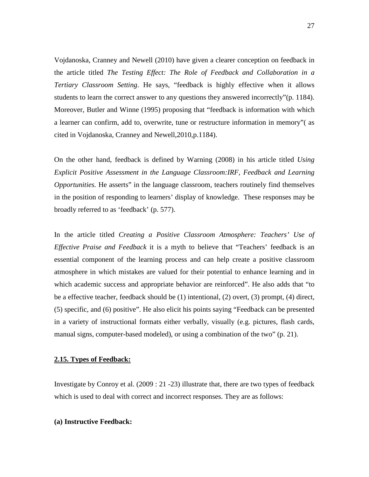Vojdanoska, Cranney and Newell (2010) have given a clearer conception on feedback in the article titled *The Testing Effect: The Role of Feedback and Collaboration in a Tertiary Classroom Setting*. He says, "feedback is highly effective when it allows students to learn the correct answer to any questions they answered incorrectly"(p. 1184). Moreover, Butler and Winne (1995) proposing that "feedback is information with which a learner can confirm, add to, overwrite, tune or restructure information in memory"( as cited in Vojdanoska, Cranney and Newell,2010,p.1184).

On the other hand, feedback is defined by Warning (2008) in his article titled *Using Explicit Positive Assessment in the Language Classroom:IRF, Feedback and Learning Opportunities.* He asserts" in the language classroom, teachers routinely find themselves in the position of responding to learners' display of knowledge. These responses may be broadly referred to as 'feedback' (p. 577).

In the article titled *Creating a Positive Classroom Atmosphere: Teachers' Use of Effective Praise and Feedback* it is a myth to believe that "Teachers' feedback is an essential component of the learning process and can help create a positive classroom atmosphere in which mistakes are valued for their potential to enhance learning and in which academic success and appropriate behavior are reinforced". He also adds that "to be a effective teacher, feedback should be (1) intentional, (2) overt, (3) prompt, (4) direct, (5) specific, and (6) positive". He also elicit his points saying "Feedback can be presented in a variety of instructional formats either verbally, visually (e.g. pictures, flash cards, manual signs, computer-based modeled), or using a combination of the two" (p. 21).

### **2.15. Types of Feedback:**

Investigate by Conroy et al. (2009 : 21 -23) illustrate that, there are two types of feedback which is used to deal with correct and incorrect responses. They are as follows:

## **(a) Instructive Feedback:**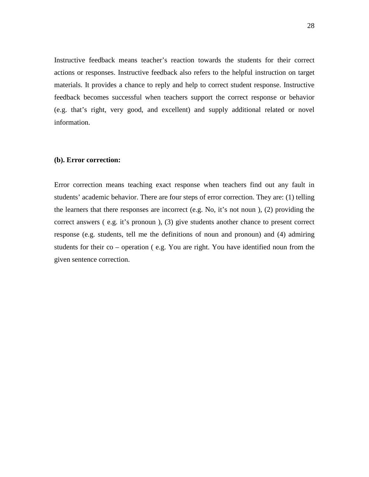Instructive feedback means teacher's reaction towards the students for their correct actions or responses. Instructive feedback also refers to the helpful instruction on target materials. It provides a chance to reply and help to correct student response. Instructive feedback becomes successful when teachers support the correct response or behavior (e.g. that's right, very good, and excellent) and supply additional related or novel information.

## **(b). Error correction:**

Error correction means teaching exact response when teachers find out any fault in students' academic behavior. There are four steps of error correction. They are: (1) telling the learners that there responses are incorrect (e.g. No, it's not noun ), (2) providing the correct answers ( e.g. it's pronoun ), (3) give students another chance to present correct response (e.g. students, tell me the definitions of noun and pronoun) and (4) admiring students for their co – operation ( e.g. You are right. You have identified noun from the given sentence correction.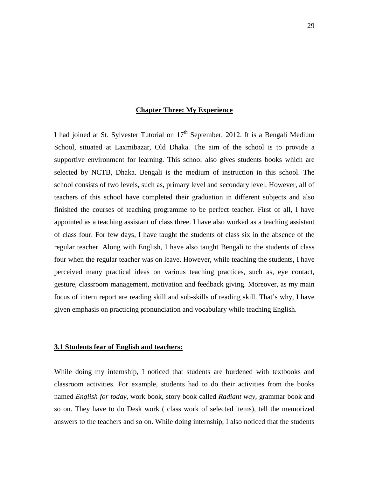## **Chapter Three: My Experience**

I had joined at St. Sylvester Tutorial on  $17<sup>th</sup>$  September, 2012. It is a Bengali Medium School, situated at Laxmibazar, Old Dhaka. The aim of the school is to provide a supportive environment for learning. This school also gives students books which are selected by NCTB, Dhaka. Bengali is the medium of instruction in this school. The school consists of two levels, such as, primary level and secondary level. However, all of teachers of this school have completed their graduation in different subjects and also finished the courses of teaching programme to be perfect teacher. First of all, I have appointed as a teaching assistant of class three. I have also worked as a teaching assistant of class four. For few days, I have taught the students of class six in the absence of the regular teacher. Along with English, I have also taught Bengali to the students of class four when the regular teacher was on leave. However, while teaching the students, I have perceived many practical ideas on various teaching practices, such as, eye contact, gesture, classroom management, motivation and feedback giving. Moreover, as my main focus of intern report are reading skill and sub-skills of reading skill. That's why, I have given emphasis on practicing pronunciation and vocabulary while teaching English.

#### **3.1 Students fear of English and teachers:**

While doing my internship, I noticed that students are burdened with textbooks and classroom activities. For example, students had to do their activities from the books named *English for today*, work book, story book called *Radiant way*, grammar book and so on. They have to do Desk work ( class work of selected items), tell the memorized answers to the teachers and so on. While doing internship, I also noticed that the students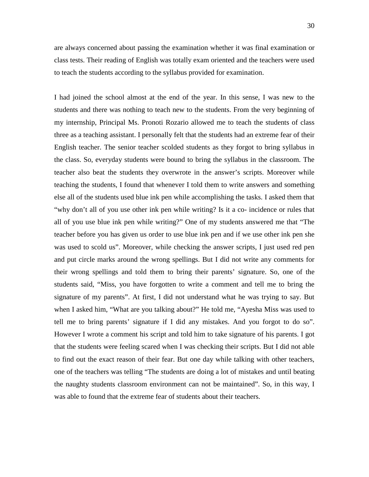are always concerned about passing the examination whether it was final examination or class tests. Their reading of English was totally exam oriented and the teachers were used to teach the students according to the syllabus provided for examination.

I had joined the school almost at the end of the year. In this sense, I was new to the students and there was nothing to teach new to the students. From the very beginning of my internship, Principal Ms. Pronoti Rozario allowed me to teach the students of class three as a teaching assistant. I personally felt that the students had an extreme fear of their English teacher. The senior teacher scolded students as they forgot to bring syllabus in the class. So, everyday students were bound to bring the syllabus in the classroom. The teacher also beat the students they overwrote in the answer's scripts. Moreover while teaching the students, I found that whenever I told them to write answers and something else all of the students used blue ink pen while accomplishing the tasks. I asked them that "why don't all of you use other ink pen while writing? Is it a co- incidence or rules that all of you use blue ink pen while writing?" One of my students answered me that "The teacher before you has given us order to use blue ink pen and if we use other ink pen she was used to scold us". Moreover, while checking the answer scripts, I just used red pen and put circle marks around the wrong spellings. But I did not write any comments for their wrong spellings and told them to bring their parents' signature. So, one of the students said, "Miss, you have forgotten to write a comment and tell me to bring the signature of my parents". At first, I did not understand what he was trying to say. But when I asked him, "What are you talking about?" He told me, "Ayesha Miss was used to tell me to bring parents' signature if I did any mistakes. And you forgot to do so". However I wrote a comment his script and told him to take signature of his parents. I got that the students were feeling scared when I was checking their scripts. But I did not able to find out the exact reason of their fear. But one day while talking with other teachers, one of the teachers was telling "The students are doing a lot of mistakes and until beating the naughty students classroom environment can not be maintained". So, in this way, I was able to found that the extreme fear of students about their teachers.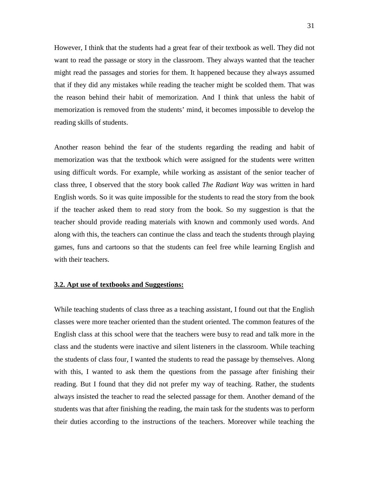However, I think that the students had a great fear of their textbook as well. They did not want to read the passage or story in the classroom. They always wanted that the teacher might read the passages and stories for them. It happened because they always assumed that if they did any mistakes while reading the teacher might be scolded them. That was the reason behind their habit of memorization. And I think that unless the habit of memorization is removed from the students' mind, it becomes impossible to develop the reading skills of students.

Another reason behind the fear of the students regarding the reading and habit of memorization was that the textbook which were assigned for the students were written using difficult words. For example, while working as assistant of the senior teacher of class three, I observed that the story book called *The Radiant Way* was written in hard English words. So it was quite impossible for the students to read the story from the book if the teacher asked them to read story from the book. So my suggestion is that the teacher should provide reading materials with known and commonly used words. And along with this, the teachers can continue the class and teach the students through playing games, funs and cartoons so that the students can feel free while learning English and with their teachers.

## **3.2. Apt use of textbooks and Suggestions:**

While teaching students of class three as a teaching assistant, I found out that the English classes were more teacher oriented than the student oriented. The common features of the English class at this school were that the teachers were busy to read and talk more in the class and the students were inactive and silent listeners in the classroom. While teaching the students of class four, I wanted the students to read the passage by themselves. Along with this, I wanted to ask them the questions from the passage after finishing their reading. But I found that they did not prefer my way of teaching. Rather, the students always insisted the teacher to read the selected passage for them. Another demand of the students was that after finishing the reading, the main task for the students was to perform their duties according to the instructions of the teachers. Moreover while teaching the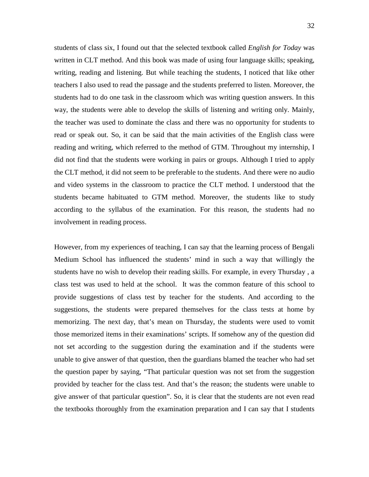students of class six, I found out that the selected textbook called *English for Today* was written in CLT method. And this book was made of using four language skills; speaking, writing, reading and listening. But while teaching the students, I noticed that like other teachers I also used to read the passage and the students preferred to listen. Moreover, the students had to do one task in the classroom which was writing question answers. In this way, the students were able to develop the skills of listening and writing only. Mainly, the teacher was used to dominate the class and there was no opportunity for students to read or speak out. So, it can be said that the main activities of the English class were reading and writing, which referred to the method of GTM. Throughout my internship, I did not find that the students were working in pairs or groups. Although I tried to apply the CLT method, it did not seem to be preferable to the students. And there were no audio and video systems in the classroom to practice the CLT method. I understood that the students became habituated to GTM method. Moreover, the students like to study according to the syllabus of the examination. For this reason, the students had no involvement in reading process.

However, from my experiences of teaching, I can say that the learning process of Bengali Medium School has influenced the students' mind in such a way that willingly the students have no wish to develop their reading skills. For example, in every Thursday , a class test was used to held at the school. It was the common feature of this school to provide suggestions of class test by teacher for the students. And according to the suggestions, the students were prepared themselves for the class tests at home by memorizing. The next day, that's mean on Thursday, the students were used to vomit those memorized items in their examinations' scripts. If somehow any of the question did not set according to the suggestion during the examination and if the students were unable to give answer of that question, then the guardians blamed the teacher who had set the question paper by saying, "That particular question was not set from the suggestion provided by teacher for the class test. And that's the reason; the students were unable to give answer of that particular question". So, it is clear that the students are not even read the textbooks thoroughly from the examination preparation and I can say that I students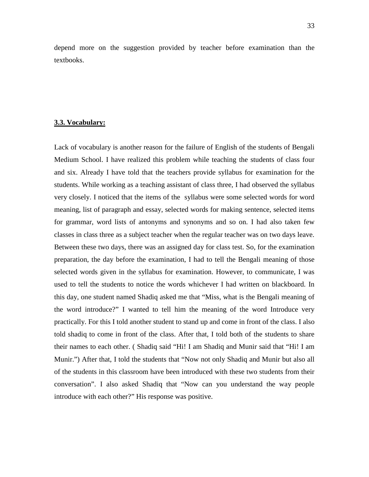depend more on the suggestion provided by teacher before examination than the textbooks.

#### **3.3. Vocabulary:**

Lack of vocabulary is another reason for the failure of English of the students of Bengali Medium School. I have realized this problem while teaching the students of class four and six. Already I have told that the teachers provide syllabus for examination for the students. While working as a teaching assistant of class three, I had observed the syllabus very closely. I noticed that the items of the syllabus were some selected words for word meaning, list of paragraph and essay, selected words for making sentence, selected items for grammar, word lists of antonyms and synonyms and so on. I had also taken few classes in class three as a subject teacher when the regular teacher was on two days leave. Between these two days, there was an assigned day for class test. So, for the examination preparation, the day before the examination, I had to tell the Bengali meaning of those selected words given in the syllabus for examination. However, to communicate, I was used to tell the students to notice the words whichever I had written on blackboard. In this day, one student named Shadiq asked me that "Miss, what is the Bengali meaning of the word introduce?" I wanted to tell him the meaning of the word Introduce very practically. For this I told another student to stand up and come in front of the class. I also told shadiq to come in front of the class. After that, I told both of the students to share their names to each other. ( Shadiq said "Hi! I am Shadiq and Munir said that "Hi! I am Munir.") After that, I told the students that "Now not only Shadiq and Munir but also all of the students in this classroom have been introduced with these two students from their conversation". I also asked Shadiq that "Now can you understand the way people introduce with each other?" His response was positive.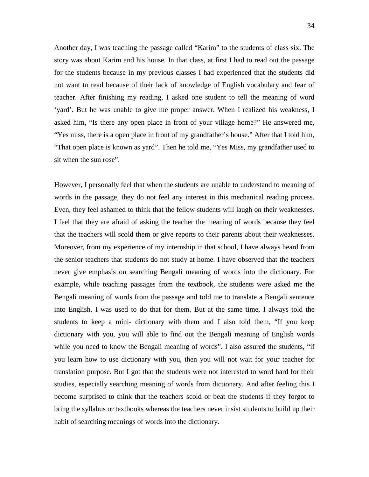Another day, I was teaching the passage called "Karim" to the students of class six. The story was about Karim and his house. In that class, at first I had to read out the passage for the students because in my previous classes I had experienced that the students did not want to read because of their lack of knowledge of English vocabulary and fear of teacher. After finishing my reading, I asked one student to tell the meaning of word 'yard'. But he was unable to give me proper answer. When I realized his weakness, I asked him, "Is there any open place in front of your village home?" He answered me, "Yes miss, there is a open place in front of my grandfather's house." After that I told him, "That open place is known as yard". Then he told me, "Yes Miss, my grandfather used to sit when the sun rose".

However, I personally feel that when the students are unable to understand to meaning of words in the passage, they do not feel any interest in this mechanical reading process. Even, they feel ashamed to think that the fellow students will laugh on their weaknesses. I feel that they are afraid of asking the teacher the meaning of words because they feel that the teachers will scold them or give reports to their parents about their weaknesses. Moreover, from my experience of my internship in that school, I have always heard from the senior teachers that students do not study at home. I have observed that the teachers never give emphasis on searching Bengali meaning of words into the dictionary. For example, while teaching passages from the textbook, the students were asked me the Bengali meaning of words from the passage and told me to translate a Bengali sentence into English. I was used to do that for them. But at the same time, I always told the students to keep a mini- dictionary with them and I also told them, "If you keep dictionary with you, you will able to find out the Bengali meaning of English words while you need to know the Bengali meaning of words". I also assured the students, "if you learn how to use dictionary with you, then you will not wait for your teacher for translation purpose. But I got that the students were not interested to word hard for their studies, especially searching meaning of words from dictionary. And after feeling this I become surprised to think that the teachers scold or beat the students if they forgot to bring the syllabus or textbooks whereas the teachers never insist students to build up their habit of searching meanings of words into the dictionary.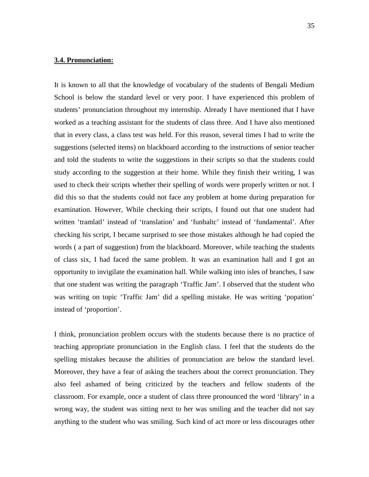## **3.4. Pronunciation:**

It is known to all that the knowledge of vocabulary of the students of Bengali Medium School is below the standard level or very poor. I have experienced this problem of students' pronunciation throughout my internship. Already I have mentioned that I have worked as a teaching assistant for the students of class three. And I have also mentioned that in every class, a class test was held. For this reason, several times I had to write the suggestions (selected items) on blackboard according to the instructions of senior teacher and told the students to write the suggestions in their scripts so that the students could study according to the suggestion at their home. While they finish their writing, I was used to check their scripts whether their spelling of words were properly written or not. I did this so that the students could not face any problem at home during preparation for examination. However, While checking their scripts, I found out that one student had written 'tramlatl' instead of 'translation' and 'funbaltc' instead of 'fundamental'. After checking his script, I became surprised to see those mistakes although he had copied the words ( a part of suggestion) from the blackboard. Moreover, while teaching the students of class six, I had faced the same problem. It was an examination hall and I got an opportunity to invigilate the examination hall. While walking into isles of branches, I saw that one student was writing the paragraph 'Traffic Jam'. I observed that the student who was writing on topic 'Traffic Jam' did a spelling mistake. He was writing 'popation' instead of 'proportion'.

I think, pronunciation problem occurs with the students because there is no practice of teaching appropriate pronunciation in the English class. I feel that the students do the spelling mistakes because the abilities of pronunciation are below the standard level. Moreover, they have a fear of asking the teachers about the correct pronunciation. They also feel ashamed of being criticized by the teachers and fellow students of the classroom. For example, once a student of class three pronounced the word 'library' in a wrong way, the student was sitting next to her was smiling and the teacher did not say anything to the student who was smiling. Such kind of act more or less discourages other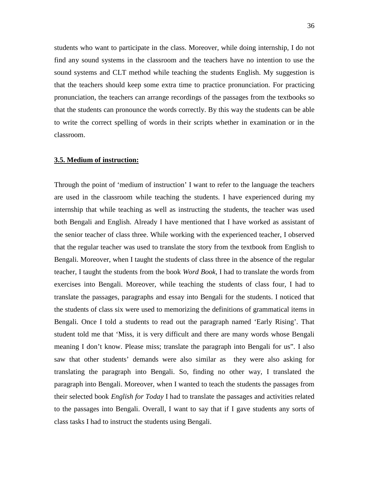students who want to participate in the class. Moreover, while doing internship, I do not find any sound systems in the classroom and the teachers have no intention to use the sound systems and CLT method while teaching the students English. My suggestion is that the teachers should keep some extra time to practice pronunciation. For practicing pronunciation, the teachers can arrange recordings of the passages from the textbooks so that the students can pronounce the words correctly. By this way the students can be able to write the correct spelling of words in their scripts whether in examination or in the classroom.

#### **3.5. Medium of instruction:**

Through the point of 'medium of instruction' I want to refer to the language the teachers are used in the classroom while teaching the students. I have experienced during my internship that while teaching as well as instructing the students, the teacher was used both Bengali and English. Already I have mentioned that I have worked as assistant of the senior teacher of class three. While working with the experienced teacher, I observed that the regular teacher was used to translate the story from the textbook from English to Bengali. Moreover, when I taught the students of class three in the absence of the regular teacher, I taught the students from the book *Word Book*, I had to translate the words from exercises into Bengali. Moreover, while teaching the students of class four, I had to translate the passages, paragraphs and essay into Bengali for the students. I noticed that the students of class six were used to memorizing the definitions of grammatical items in Bengali. Once I told a students to read out the paragraph named 'Early Rising'. That student told me that 'Miss, it is very difficult and there are many words whose Bengali meaning I don't know. Please miss; translate the paragraph into Bengali for us". I also saw that other students' demands were also similar as they were also asking for translating the paragraph into Bengali. So, finding no other way, I translated the paragraph into Bengali. Moreover, when I wanted to teach the students the passages from their selected book *English for Today* I had to translate the passages and activities related to the passages into Bengali. Overall, I want to say that if I gave students any sorts of class tasks I had to instruct the students using Bengali.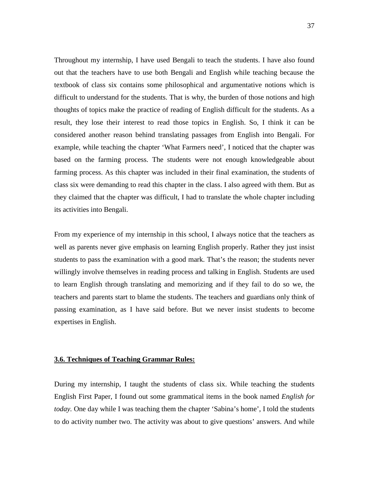Throughout my internship, I have used Bengali to teach the students. I have also found out that the teachers have to use both Bengali and English while teaching because the textbook of class six contains some philosophical and argumentative notions which is difficult to understand for the students. That is why, the burden of those notions and high thoughts of topics make the practice of reading of English difficult for the students. As a result, they lose their interest to read those topics in English. So, I think it can be considered another reason behind translating passages from English into Bengali. For example, while teaching the chapter 'What Farmers need', I noticed that the chapter was based on the farming process. The students were not enough knowledgeable about farming process. As this chapter was included in their final examination, the students of class six were demanding to read this chapter in the class. I also agreed with them. But as they claimed that the chapter was difficult, I had to translate the whole chapter including its activities into Bengali.

From my experience of my internship in this school, I always notice that the teachers as well as parents never give emphasis on learning English properly. Rather they just insist students to pass the examination with a good mark. That's the reason; the students never willingly involve themselves in reading process and talking in English. Students are used to learn English through translating and memorizing and if they fail to do so we, the teachers and parents start to blame the students. The teachers and guardians only think of passing examination, as I have said before. But we never insist students to become expertises in English.

### **3.6. Techniques of Teaching Grammar Rules:**

During my internship, I taught the students of class six. While teaching the students English First Paper, I found out some grammatical items in the book named *English for today.* One day while I was teaching them the chapter 'Sabina's home', I told the students to do activity number two. The activity was about to give questions' answers. And while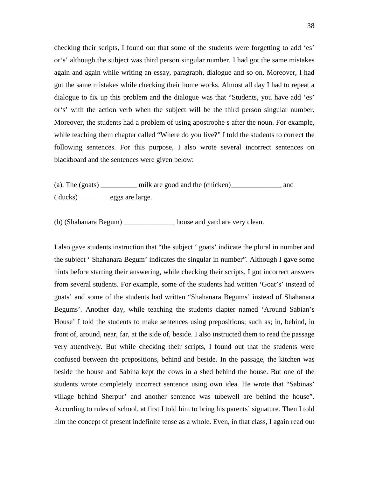checking their scripts, I found out that some of the students were forgetting to add 'es' or's' although the subject was third person singular number. I had got the same mistakes again and again while writing an essay, paragraph, dialogue and so on. Moreover, I had got the same mistakes while checking their home works. Almost all day I had to repeat a dialogue to fix up this problem and the dialogue was that "Students, you have add 'es' or's' with the action verb when the subject will be the third person singular number. Moreover, the students had a problem of using apostrophe s after the noun. For example, while teaching them chapter called "Where do you live?" I told the students to correct the following sentences. For this purpose, I also wrote several incorrect sentences on blackboard and the sentences were given below:

(a). The (goats) \_\_\_\_\_\_\_\_\_\_ milk are good and the (chicken)\_\_\_\_\_\_\_\_\_\_\_\_\_\_ and ( ducks)\_\_\_\_\_\_\_\_\_eggs are large.

(b) (Shahanara Begum) \_\_\_\_\_\_\_\_\_\_\_\_\_\_ house and yard are very clean.

I also gave students instruction that "the subject ' goats' indicate the plural in number and the subject ' Shahanara Begum' indicates the singular in number". Although I gave some hints before starting their answering, while checking their scripts, I got incorrect answers from several students. For example, some of the students had written 'Goat's' instead of goats' and some of the students had written "Shahanara Begums' instead of Shahanara Begums'. Another day, while teaching the students clapter named 'Around Sabian's House' I told the students to make sentences using prepositions; such as; in, behind, in front of, around, near, far, at the side of, beside. I also instructed them to read the passage very attentively. But while checking their scripts, I found out that the students were confused between the prepositions, behind and beside. In the passage, the kitchen was beside the house and Sabina kept the cows in a shed behind the house. But one of the students wrote completely incorrect sentence using own idea. He wrote that "Sabinas' village behind Sherpur' and another sentence was tubewell are behind the house". According to rules of school, at first I told him to bring his parents' signature. Then I told him the concept of present indefinite tense as a whole. Even, in that class, I again read out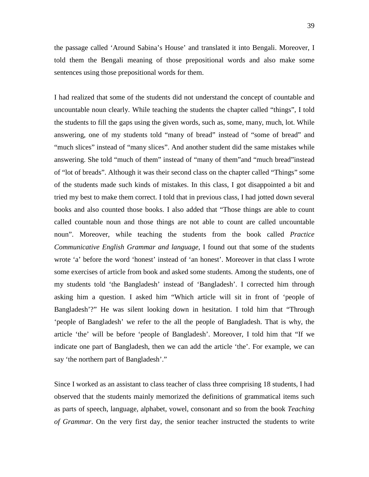the passage called 'Around Sabina's House' and translated it into Bengali. Moreover, I told them the Bengali meaning of those prepositional words and also make some sentences using those prepositional words for them.

I had realized that some of the students did not understand the concept of countable and uncountable noun clearly. While teaching the students the chapter called "things", I told the students to fill the gaps using the given words, such as, some, many, much, lot. While answering, one of my students told "many of bread" instead of "some of bread" and "much slices" instead of "many slices". And another student did the same mistakes while answering. She told "much of them" instead of "many of them"and "much bread"instead of "lot of breads". Although it was their second class on the chapter called "Things" some of the students made such kinds of mistakes. In this class, I got disappointed a bit and tried my best to make them correct. I told that in previous class, I had jotted down several books and also counted those books. I also added that "Those things are able to count called countable noun and those things are not able to count are called uncountable noun". Moreover, while teaching the students from the book called *Practice Communicative English Grammar and language*, I found out that some of the students wrote 'a' before the word 'honest' instead of 'an honest'. Moreover in that class I wrote some exercises of article from book and asked some students. Among the students, one of my students told 'the Bangladesh' instead of 'Bangladesh'. I corrected him through asking him a question. I asked him "Which article will sit in front of 'people of Bangladesh'?" He was silent looking down in hesitation. I told him that "Through 'people of Bangladesh' we refer to the all the people of Bangladesh. That is why, the article 'the' will be before 'people of Bangladesh'. Moreover, I told him that "If we indicate one part of Bangladesh, then we can add the article 'the'. For example, we can say 'the northern part of Bangladesh'."

Since I worked as an assistant to class teacher of class three comprising 18 students, I had observed that the students mainly memorized the definitions of grammatical items such as parts of speech, language, alphabet, vowel, consonant and so from the book *Teaching of Grammar*. On the very first day, the senior teacher instructed the students to write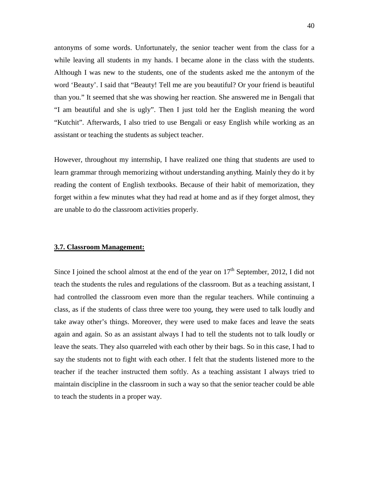antonyms of some words. Unfortunately, the senior teacher went from the class for a while leaving all students in my hands. I became alone in the class with the students. Although I was new to the students, one of the students asked me the antonym of the word 'Beauty'. I said that "Beauty! Tell me are you beautiful? Or your friend is beautiful than you." It seemed that she was showing her reaction. She answered me in Bengali that "I am beautiful and she is ugly". Then I just told her the English meaning the word "Kutchit". Afterwards, I also tried to use Bengali or easy English while working as an assistant or teaching the students as subject teacher.

However, throughout my internship, I have realized one thing that students are used to learn grammar through memorizing without understanding anything. Mainly they do it by reading the content of English textbooks. Because of their habit of memorization, they forget within a few minutes what they had read at home and as if they forget almost, they are unable to do the classroom activities properly.

## **3.7. Classroom Management:**

Since I joined the school almost at the end of the year on  $17<sup>th</sup>$  September, 2012, I did not teach the students the rules and regulations of the classroom. But as a teaching assistant, I had controlled the classroom even more than the regular teachers. While continuing a class, as if the students of class three were too young, they were used to talk loudly and take away other's things. Moreover, they were used to make faces and leave the seats again and again. So as an assistant always I had to tell the students not to talk loudly or leave the seats. They also quarreled with each other by their bags. So in this case, I had to say the students not to fight with each other. I felt that the students listened more to the teacher if the teacher instructed them softly. As a teaching assistant I always tried to maintain discipline in the classroom in such a way so that the senior teacher could be able to teach the students in a proper way.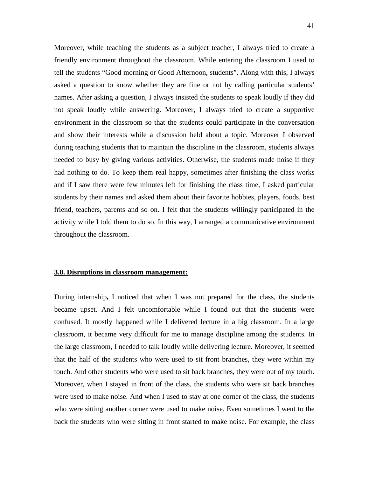Moreover, while teaching the students as a subject teacher, I always tried to create a friendly environment throughout the classroom. While entering the classroom I used to tell the students "Good morning or Good Afternoon, students". Along with this, I always asked a question to know whether they are fine or not by calling particular students' names. After asking a question, I always insisted the students to speak loudly if they did not speak loudly while answering. Moreover, I always tried to create a supportive environment in the classroom so that the students could participate in the conversation and show their interests while a discussion held about a topic. Moreover I observed during teaching students that to maintain the discipline in the classroom, students always needed to busy by giving various activities. Otherwise, the students made noise if they had nothing to do. To keep them real happy, sometimes after finishing the class works and if I saw there were few minutes left for finishing the class time, I asked particular students by their names and asked them about their favorite hobbies, players, foods, best friend, teachers, parents and so on. I felt that the students willingly participated in the activity while I told them to do so. In this way, I arranged a communicative environment throughout the classroom.

## **3.8. Disruptions in classroom management:**

During internship**,** I noticed that when I was not prepared for the class, the students became upset. And I felt uncomfortable while I found out that the students were confused. It mostly happened while I delivered lecture in a big classroom. In a large classroom, it became very difficult for me to manage discipline among the students. In the large classroom, I needed to talk loudly while delivering lecture. Moreover, it seemed that the half of the students who were used to sit front branches, they were within my touch. And other students who were used to sit back branches, they were out of my touch. Moreover, when I stayed in front of the class, the students who were sit back branches were used to make noise. And when I used to stay at one corner of the class, the students who were sitting another corner were used to make noise. Even sometimes I went to the back the students who were sitting in front started to make noise. For example, the class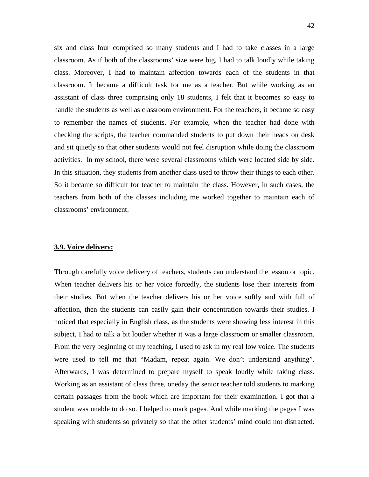six and class four comprised so many students and I had to take classes in a large classroom. As if both of the classrooms' size were big, I had to talk loudly while taking class. Moreover, I had to maintain affection towards each of the students in that classroom. It became a difficult task for me as a teacher. But while working as an assistant of class three comprising only 18 students, I felt that it becomes so easy to handle the students as well as classroom environment. For the teachers, it became so easy to remember the names of students. For example, when the teacher had done with checking the scripts, the teacher commanded students to put down their heads on desk and sit quietly so that other students would not feel disruption while doing the classroom activities. In my school, there were several classrooms which were located side by side. In this situation, they students from another class used to throw their things to each other. So it became so difficult for teacher to maintain the class. However, in such cases, the teachers from both of the classes including me worked together to maintain each of classrooms' environment.

## **3.9. Voice delivery:**

Through carefully voice delivery of teachers, students can understand the lesson or topic. When teacher delivers his or her voice forcedly, the students lose their interests from their studies. But when the teacher delivers his or her voice softly and with full of affection, then the students can easily gain their concentration towards their studies. I noticed that especially in English class, as the students were showing less interest in this subject, I had to talk a bit louder whether it was a large classroom or smaller classroom. From the very beginning of my teaching, I used to ask in my real low voice. The students were used to tell me that "Madam, repeat again. We don't understand anything". Afterwards, I was determined to prepare myself to speak loudly while taking class. Working as an assistant of class three, oneday the senior teacher told students to marking certain passages from the book which are important for their examination. I got that a student was unable to do so. I helped to mark pages. And while marking the pages I was speaking with students so privately so that the other students' mind could not distracted.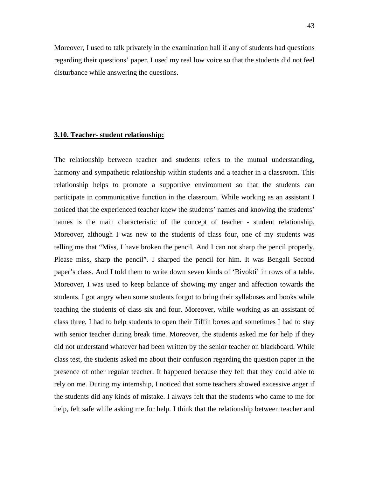Moreover, I used to talk privately in the examination hall if any of students had questions regarding their questions' paper. I used my real low voice so that the students did not feel disturbance while answering the questions.

#### **3.10. Teacher- student relationship:**

The relationship between teacher and students refers to the mutual understanding, harmony and sympathetic relationship within students and a teacher in a classroom. This relationship helps to promote a supportive environment so that the students can participate in communicative function in the classroom. While working as an assistant I noticed that the experienced teacher knew the students' names and knowing the students' names is the main characteristic of the concept of teacher - student relationship. Moreover, although I was new to the students of class four, one of my students was telling me that "Miss, I have broken the pencil. And I can not sharp the pencil properly. Please miss, sharp the pencil". I sharped the pencil for him. It was Bengali Second paper's class. And I told them to write down seven kinds of 'Bivokti' in rows of a table. Moreover, I was used to keep balance of showing my anger and affection towards the students. I got angry when some students forgot to bring their syllabuses and books while teaching the students of class six and four. Moreover, while working as an assistant of class three, I had to help students to open their Tiffin boxes and sometimes I had to stay with senior teacher during break time. Moreover, the students asked me for help if they did not understand whatever had been written by the senior teacher on blackboard. While class test, the students asked me about their confusion regarding the question paper in the presence of other regular teacher. It happened because they felt that they could able to rely on me. During my internship, I noticed that some teachers showed excessive anger if the students did any kinds of mistake. I always felt that the students who came to me for help, felt safe while asking me for help. I think that the relationship between teacher and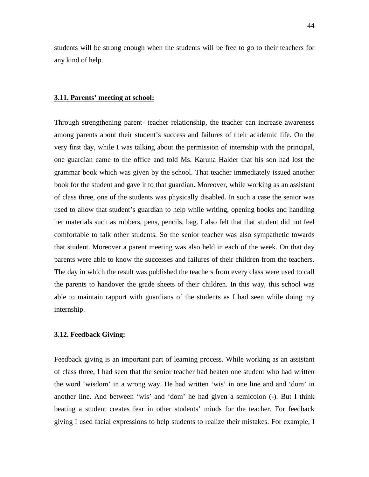students will be strong enough when the students will be free to go to their teachers for any kind of help.

#### **3.11. Parents' meeting at school:**

Through strengthening parent- teacher relationship, the teacher can increase awareness among parents about their student's success and failures of their academic life. On the very first day, while I was talking about the permission of internship with the principal, one guardian came to the office and told Ms. Karuna Halder that his son had lost the grammar book which was given by the school. That teacher immediately issued another book for the student and gave it to that guardian. Moreover, while working as an assistant of class three, one of the students was physically disabled. In such a case the senior was used to allow that student's guardian to help while writing, opening books and handling her materials such as rubbers, pens, pencils, bag. I also felt that that student did not feel comfortable to talk other students. So the senior teacher was also sympathetic towards that student. Moreover a parent meeting was also held in each of the week. On that day parents were able to know the successes and failures of their children from the teachers. The day in which the result was published the teachers from every class were used to call the parents to handover the grade sheets of their children. In this way, this school was able to maintain rapport with guardians of the students as I had seen while doing my internship.

## **3.12. Feedback Giving:**

Feedback giving is an important part of learning process. While working as an assistant of class three, I had seen that the senior teacher had beaten one student who had written the word 'wisdom' in a wrong way. He had written 'wis' in one line and and 'dom' in another line. And between 'wis' and 'dom' he had given a semicolon (-). But I think beating a student creates fear in other students' minds for the teacher. For feedback giving I used facial expressions to help students to realize their mistakes. For example, I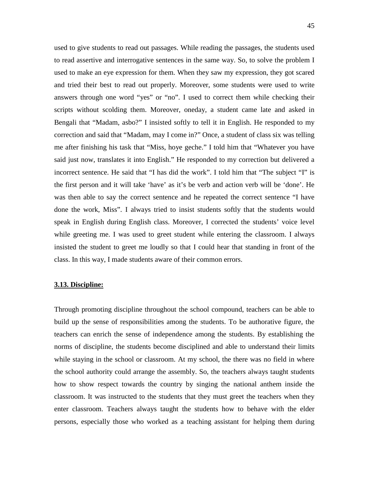used to give students to read out passages. While reading the passages, the students used to read assertive and interrogative sentences in the same way. So, to solve the problem I used to make an eye expression for them. When they saw my expression, they got scared and tried their best to read out properly. Moreover, some students were used to write answers through one word "yes" or "no". I used to correct them while checking their scripts without scolding them. Moreover, oneday, a student came late and asked in Bengali that "Madam, asbo?" I insisted softly to tell it in English. He responded to my correction and said that "Madam, may I come in?" Once, a student of class six was telling me after finishing his task that "Miss, hoye geche." I told him that "Whatever you have said just now, translates it into English." He responded to my correction but delivered a incorrect sentence. He said that "I has did the work". I told him that "The subject "I" is the first person and it will take 'have' as it's be verb and action verb will be 'done'. He was then able to say the correct sentence and he repeated the correct sentence "I have done the work, Miss". I always tried to insist students softly that the students would speak in English during English class. Moreover, I corrected the students' voice level while greeting me. I was used to greet student while entering the classroom. I always insisted the student to greet me loudly so that I could hear that standing in front of the class. In this way, I made students aware of their common errors.

#### **3.13. Discipline:**

Through promoting discipline throughout the school compound, teachers can be able to build up the sense of responsibilities among the students. To be authorative figure, the teachers can enrich the sense of independence among the students. By establishing the norms of discipline, the students become disciplined and able to understand their limits while staying in the school or classroom. At my school, the there was no field in where the school authority could arrange the assembly. So, the teachers always taught students how to show respect towards the country by singing the national anthem inside the classroom. It was instructed to the students that they must greet the teachers when they enter classroom. Teachers always taught the students how to behave with the elder persons, especially those who worked as a teaching assistant for helping them during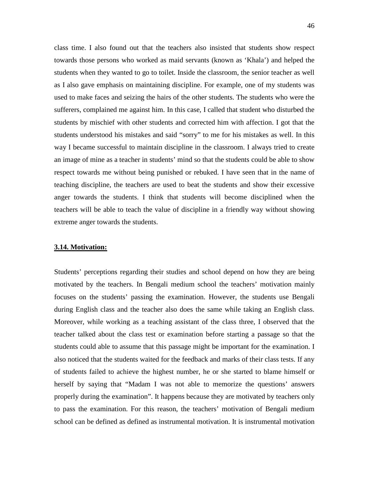class time. I also found out that the teachers also insisted that students show respect towards those persons who worked as maid servants (known as 'Khala') and helped the students when they wanted to go to toilet. Inside the classroom, the senior teacher as well as I also gave emphasis on maintaining discipline. For example, one of my students was used to make faces and seizing the hairs of the other students. The students who were the sufferers, complained me against him. In this case, I called that student who disturbed the students by mischief with other students and corrected him with affection. I got that the students understood his mistakes and said "sorry" to me for his mistakes as well. In this way I became successful to maintain discipline in the classroom. I always tried to create an image of mine as a teacher in students' mind so that the students could be able to show respect towards me without being punished or rebuked. I have seen that in the name of teaching discipline, the teachers are used to beat the students and show their excessive anger towards the students. I think that students will become disciplined when the teachers will be able to teach the value of discipline in a friendly way without showing extreme anger towards the students.

## **3.14. Motivation:**

Students' perceptions regarding their studies and school depend on how they are being motivated by the teachers. In Bengali medium school the teachers' motivation mainly focuses on the students' passing the examination. However, the students use Bengali during English class and the teacher also does the same while taking an English class. Moreover, while working as a teaching assistant of the class three, I observed that the teacher talked about the class test or examination before starting a passage so that the students could able to assume that this passage might be important for the examination. I also noticed that the students waited for the feedback and marks of their class tests. If any of students failed to achieve the highest number, he or she started to blame himself or herself by saying that "Madam I was not able to memorize the questions' answers properly during the examination". It happens because they are motivated by teachers only to pass the examination. For this reason, the teachers' motivation of Bengali medium school can be defined as defined as instrumental motivation. It is instrumental motivation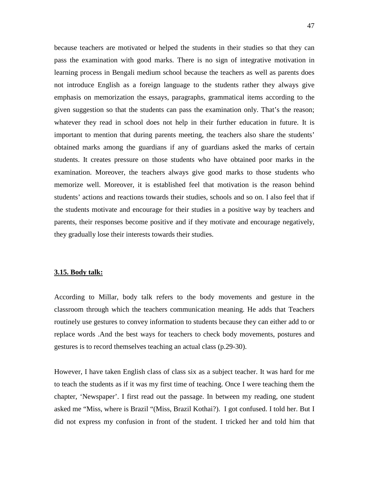because teachers are motivated or helped the students in their studies so that they can pass the examination with good marks. There is no sign of integrative motivation in learning process in Bengali medium school because the teachers as well as parents does not introduce English as a foreign language to the students rather they always give emphasis on memorization the essays, paragraphs, grammatical items according to the given suggestion so that the students can pass the examination only. That's the reason; whatever they read in school does not help in their further education in future. It is important to mention that during parents meeting, the teachers also share the students' obtained marks among the guardians if any of guardians asked the marks of certain students. It creates pressure on those students who have obtained poor marks in the examination. Moreover, the teachers always give good marks to those students who memorize well. Moreover, it is established feel that motivation is the reason behind students' actions and reactions towards their studies, schools and so on. I also feel that if the students motivate and encourage for their studies in a positive way by teachers and parents, their responses become positive and if they motivate and encourage negatively, they gradually lose their interests towards their studies.

## **3.15. Body talk:**

According to Millar, body talk refers to the body movements and gesture in the classroom through which the teachers communication meaning. He adds that Teachers routinely use gestures to convey information to students because they can either add to or replace words .And the best ways for teachers to check body movements, postures and gestures is to record themselves teaching an actual class (p.29-30).

However, I have taken English class of class six as a subject teacher. It was hard for me to teach the students as if it was my first time of teaching. Once I were teaching them the chapter, 'Newspaper'. I first read out the passage. In between my reading, one student asked me "Miss, where is Brazil "(Miss, Brazil Kothai?). I got confused. I told her. But I did not express my confusion in front of the student. I tricked her and told him that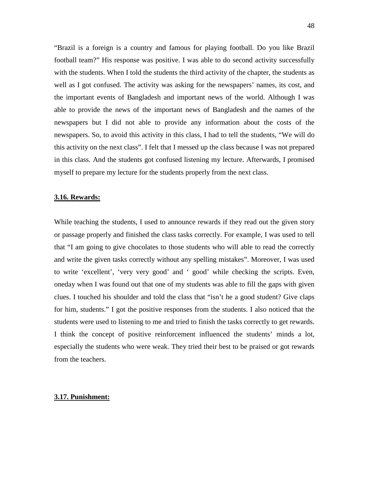"Brazil is a foreign is a country and famous for playing football. Do you like Brazil football team?" His response was positive. I was able to do second activity successfully with the students. When I told the students the third activity of the chapter, the students as well as I got confused. The activity was asking for the newspapers' names, its cost, and the important events of Bangladesh and important news of the world. Although I was able to provide the news of the important news of Bangladesh and the names of the newspapers but I did not able to provide any information about the costs of the newspapers. So, to avoid this activity in this class, I had to tell the students, "We will do this activity on the next class". I felt that I messed up the class because I was not prepared in this class. And the students got confused listening my lecture. Afterwards, I promised myself to prepare my lecture for the students properly from the next class.

#### **3.16. Rewards:**

While teaching the students, I used to announce rewards if they read out the given story or passage properly and finished the class tasks correctly. For example, I was used to tell that "I am going to give chocolates to those students who will able to read the correctly and write the given tasks correctly without any spelling mistakes". Moreover, I was used to write 'excellent', 'very very good' and ' good' while checking the scripts. Even, oneday when I was found out that one of my students was able to fill the gaps with given clues. I touched his shoulder and told the class that "isn't he a good student? Give claps for him, students." I got the positive responses from the students. I also noticed that the students were used to listening to me and tried to finish the tasks correctly to get rewards. I think the concept of positive reinforcement influenced the students' minds a lot, especially the students who were weak. They tried their best to be praised or got rewards from the teachers.

### **3.17. Punishment:**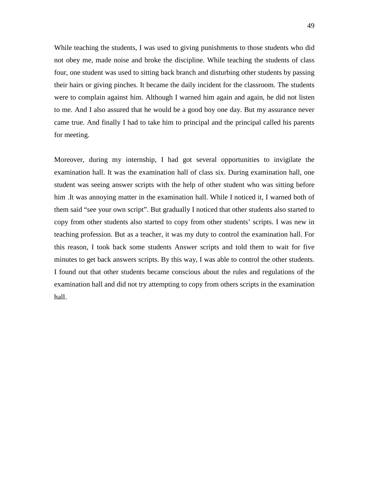While teaching the students, I was used to giving punishments to those students who did not obey me, made noise and broke the discipline. While teaching the students of class four, one student was used to sitting back branch and disturbing other students by passing their hairs or giving pinches. It became the daily incident for the classroom. The students were to complain against him. Although I warned him again and again, he did not listen to me. And I also assured that he would be a good boy one day. But my assurance never came true. And finally I had to take him to principal and the principal called his parents for meeting.

Moreover, during my internship, I had got several opportunities to invigilate the examination hall. It was the examination hall of class six. During examination hall, one student was seeing answer scripts with the help of other student who was sitting before him .It was annoying matter in the examination hall. While I noticed it, I warned both of them said "see your own script". But gradually I noticed that other students also started to copy from other students also started to copy from other students' scripts. I was new in teaching profession. But as a teacher, it was my duty to control the examination hall. For this reason, I took back some students Answer scripts and told them to wait for five minutes to get back answers scripts. By this way, I was able to control the other students. I found out that other students became conscious about the rules and regulations of the examination hall and did not try attempting to copy from others scripts in the examination hall.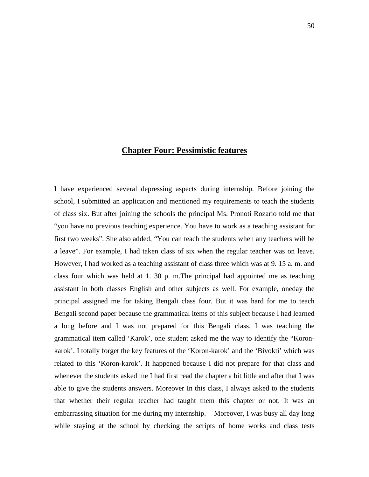## **Chapter Four: Pessimistic features**

I have experienced several depressing aspects during internship. Before joining the school, I submitted an application and mentioned my requirements to teach the students of class six. But after joining the schools the principal Ms. Pronoti Rozario told me that "you have no previous teaching experience. You have to work as a teaching assistant for first two weeks". She also added, "You can teach the students when any teachers will be a leave". For example, I had taken class of six when the regular teacher was on leave. However, I had worked as a teaching assistant of class three which was at 9. 15 a. m. and class four which was held at 1. 30 p. m.The principal had appointed me as teaching assistant in both classes English and other subjects as well. For example, oneday the principal assigned me for taking Bengali class four. But it was hard for me to teach Bengali second paper because the grammatical items of this subject because I had learned a long before and I was not prepared for this Bengali class. I was teaching the grammatical item called 'Karok', one student asked me the way to identify the "Koronkarok'. I totally forget the key features of the 'Koron-karok' and the 'Bivokti' which was related to this 'Koron-karok'. It happened because I did not prepare for that class and whenever the students asked me I had first read the chapter a bit little and after that I was able to give the students answers. Moreover In this class, I always asked to the students that whether their regular teacher had taught them this chapter or not. It was an embarrassing situation for me during my internship. Moreover, I was busy all day long while staying at the school by checking the scripts of home works and class tests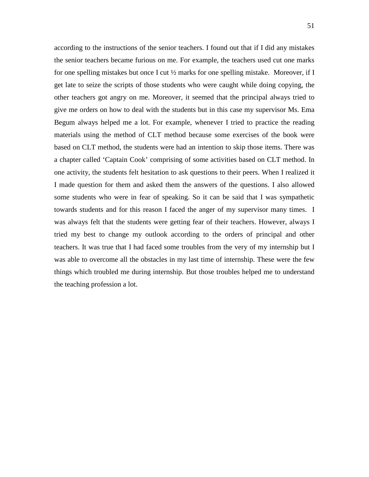according to the instructions of the senior teachers. I found out that if I did any mistakes the senior teachers became furious on me. For example, the teachers used cut one marks for one spelling mistakes but once I cut ½ marks for one spelling mistake. Moreover, if I get late to seize the scripts of those students who were caught while doing copying, the other teachers got angry on me. Moreover, it seemed that the principal always tried to give me orders on how to deal with the students but in this case my supervisor Ms. Ema Begum always helped me a lot. For example, whenever I tried to practice the reading materials using the method of CLT method because some exercises of the book were based on CLT method, the students were had an intention to skip those items. There was a chapter called 'Captain Cook' comprising of some activities based on CLT method. In one activity, the students felt hesitation to ask questions to their peers. When I realized it I made question for them and asked them the answers of the questions. I also allowed some students who were in fear of speaking. So it can be said that I was sympathetic towards students and for this reason I faced the anger of my supervisor many times. I was always felt that the students were getting fear of their teachers. However, always I tried my best to change my outlook according to the orders of principal and other teachers. It was true that I had faced some troubles from the very of my internship but I was able to overcome all the obstacles in my last time of internship. These were the few things which troubled me during internship. But those troubles helped me to understand the teaching profession a lot.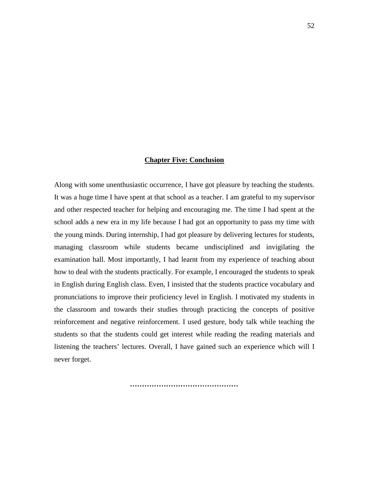## **Chapter Five: Conclusion**

Along with some unenthusiastic occurrence, I have got pleasure by teaching the students. It was a huge time I have spent at that school as a teacher. I am grateful to my supervisor and other respected teacher for helping and encouraging me. The time I had spent at the school adds a new era in my life because I had got an opportunity to pass my time with the young minds. During internship, I had got pleasure by delivering lectures for students, managing classroom while students became undisciplined and invigilating the examination hall. Most importantly, I had learnt from my experience of teaching about how to deal with the students practically. For example, I encouraged the students to speak in English during English class. Even, I insisted that the students practice vocabulary and pronunciations to improve their proficiency level in English. I motivated my students in the classroom and towards their studies through practicing the concepts of positive reinforcement and negative reinforcement. I used gesture, body talk while teaching the students so that the students could get interest while reading the reading materials and listening the teachers' lectures. Overall, I have gained such an experience which will I never forget.

*………………………………………*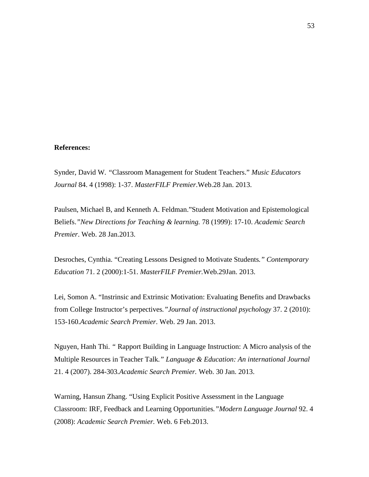## **References:**

Synder, David W*. "*Classroom Management for Student Teachers." *Music Educators Journal* 84. 4 (1998): 1-37. *MasterFILF Premier*.Web.28 Jan. 2013.

Paulsen, Michael B, and Kenneth A. Feldman."Student Motivation and Epistemological Beliefs.*"New Directions for Teaching & learning.* 78 (1999): 17-10. *Academic Search Premier*. Web. 28 Jan.2013.

Desroches, Cynthia. "Creating Lessons Designed to Motivate Students*." Contemporary Education* 71. 2 (2000):1-51. *MasterFILF Premier.*Web.29Jan. 2013.

Lei, Somon A. "Instrinsic and Extrinsic Motivation: Evaluating Benefits and Drawbacks from College Instructor's perpectives*."Journal of instructional psychology* 37. 2 (2010): 153-160.*Academic Search Premier*. Web. 29 Jan. 2013.

Nguyen, Hanh Thi. *"* Rapport Building in Language Instruction: A Micro analysis of the Multiple Resources in Teacher Talk*." Language & Education: An international Journal*  21. 4 (2007). 284-303*.Academic Search Premier.* Web. 30 Jan. 2013.

Warning, Hansun Zhang. "Using Explicit Positive Assessment in the Language Classroom: IRF, Feedback and Learning Opportunities*."Modern Language Journal* 92. 4 (2008): *Academic Search Premier.* Web. 6 Feb.2013.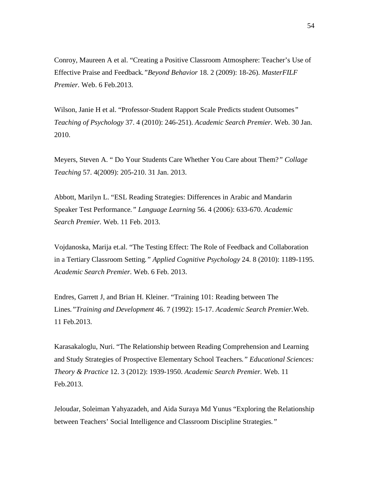Conroy, Maureen A et al. "Creating a Positive Classroom Atmosphere: Teacher's Use of Effective Praise and Feedback*."Beyond Behavior* 18. 2 (2009): 18-26). *MasterFILF Premier.* Web. 6 Feb.2013.

Wilson, Janie H et al. "Professor-Student Rapport Scale Predicts student Outsomes*" Teaching of Psychology* 37. 4 (2010): 246-251). *Academic Search Premier.* Web. 30 Jan. 2010.

Meyers, Steven A. " Do Your Students Care Whether You Care about Them?*" Collage Teaching* 57. 4(2009): 205-210. 31 Jan. 2013.

Abbott, Marilyn L. "ESL Reading Strategies: Differences in Arabic and Mandarin Speaker Test Performance*." Language Learning* 56. 4 (2006): 633-670. *Academic Search Premier.* Web. 11 Feb. 2013.

Vojdanoska, Marija et.al. "The Testing Effect: The Role of Feedback and Collaboration in a Tertiary Classroom Setting*." Applied Cognitive Psychology* 24. 8 (2010): 1189-1195. *Academic Search Premier.* Web. 6 Feb. 2013.

Endres, Garrett J, and Brian H. Kleiner. "Training 101: Reading between The Lines*."Training and Development* 46. 7 (1992): 15-17. *Academic Search Premier.*Web. 11 Feb.2013.

Karasakaloglu, Nuri. "The Relationship between Reading Comprehension and Learning and Study Strategies of Prospective Elementary School Teachers*." Educational Sciences: Theory & Practice* 12. 3 (2012): 1939-1950. *Academic Search Premier.* Web. 11 Feb.2013.

Jeloudar, Soleiman Yahyazadeh, and Aida Suraya Md Yunus "Exploring the Relationship between Teachers' Social Intelligence and Classroom Discipline Strategies*."*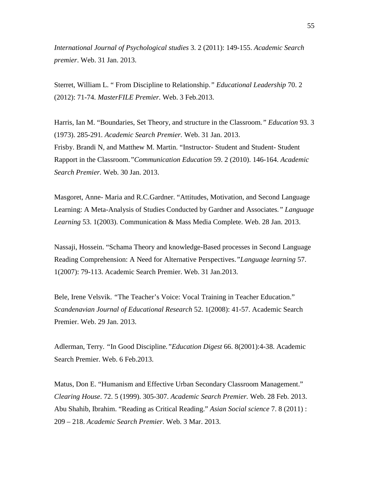*International Journal of Psychological studies* 3. 2 (2011): 149-155. *Academic Search premier*. Web. 31 Jan. 2013.

Sterret, William L. " From Discipline to Relationship.*" Educational Leadership* 70. 2 (2012): 71-74. *MasterFILE Premier.* Web. 3 Feb.2013.

Harris, Ian M. "Boundaries, Set Theory, and structure in the Classroom*." Education* 93. 3 (1973). 285-291*. Academic Search Premier.* Web. 31 Jan. 2013. Frisby. Brandi N, and Matthew M. Martin. "Instructor- Student and Student- Student Rapport in the Classroom.*"Communication Education* 59. 2 (2010). 146-164. *Academic Search Premier.* Web. 30 Jan. 2013.

Masgoret, Anne- Maria and R.C.Gardner. "Attitudes, Motivation, and Second Language Learning: A Meta-Analysis of Studies Conducted by Gardner and Associates*." Language Learning* 53. 1(2003). Communication & Mass Media Complete. Web. 28 Jan. 2013.

Nassaji, Hossein. "Schama Theory and knowledge-Based processes in Second Language Reading Comprehension: A Need for Alternative Perspectives.*"Language learning* 57. 1(2007): 79-113. Academic Search Premier. Web. 31 Jan.2013.

Bele, Irene Velsvik. *"*The Teacher's Voice: Vocal Training in Teacher Education." *Scandenavian Journal of Educational Research* 52. 1(2008): 41-57. Academic Search Premier. Web. 29 Jan. 2013.

Adlerman, Terry. *"*In Good Discipline*."Education Digest* 66. 8(2001):4-38. Academic Search Premier. Web. 6 Feb.2013.

Matus, Don E. "Humanism and Effective Urban Secondary Classroom Management." *Clearing House*. 72. 5 (1999). 305-307. *Academic Search Premier.* Web. 28 Feb. 2013. Abu Shahib, Ibrahim. "Reading as Critical Reading." *Asian Social science* 7. 8 (2011) : 209 – 218. *Academic Search Premier*. Web. 3 Mar. 2013.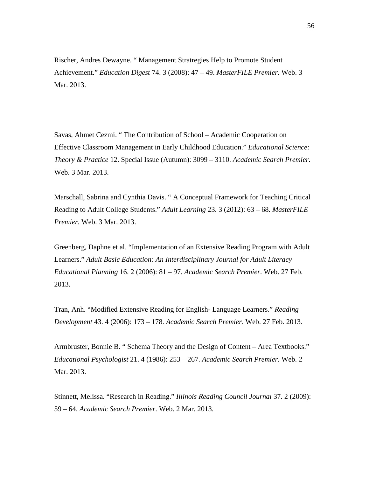Rischer, Andres Dewayne. " Management Stratregies Help to Promote Student Achievement." *Education Digest* 74. 3 (2008): 47 – 49. *MasterFILE Premier*. Web. 3 Mar. 2013.

Savas, Ahmet Cezmi. " The Contribution of School – Academic Cooperation on Effective Classroom Management in Early Childhood Education." *Educational Science: Theory & Practice* 12. Special Issue (Autumn): 3099 – 3110. *Academic Search Premier*. Web. 3 Mar. 2013.

Marschall, Sabrina and Cynthia Davis. " A Conceptual Framework for Teaching Critical Reading to Adult College Students." *Adult Learning* 23. 3 (2012): 63 – 68*. MasterFILE Premier.* Web. 3 Mar. 2013.

Greenberg, Daphne et al. "Implementation of an Extensive Reading Program with Adult Learners." *Adult Basic Education: An Interdisciplinary Journal for Adult Literacy Educational Planning* 16. 2 (2006): 81 – 97. *Academic Search Premier*. Web. 27 Feb. 2013.

Tran, Anh. "Modified Extensive Reading for English- Language Learners." *Reading Development* 43. 4 (2006): 173 – 178. *Academic Search Premier*. Web. 27 Feb. 2013.

Armbruster, Bonnie B. " Schema Theory and the Design of Content – Area Textbooks." *Educational Psychologist* 21. 4 (1986): 253 – 267. *Academic Search Premier*. Web. 2 Mar. 2013.

Stinnett, Melissa. "Research in Reading." *Illinois Reading Council Journal* 37. 2 (2009): 59 – 64. *Academic Search Premier*. Web. 2 Mar. 2013.